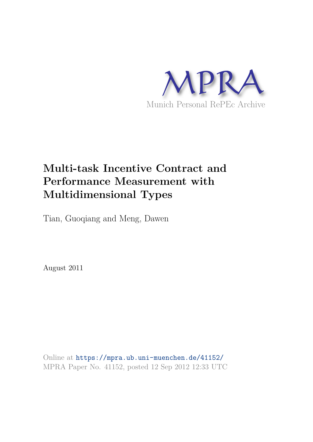

# **Multi-task Incentive Contract and Performance Measurement with Multidimensional Types**

Tian, Guoqiang and Meng, Dawen

August 2011

Online at https://mpra.ub.uni-muenchen.de/41152/ MPRA Paper No. 41152, posted 12 Sep 2012 12:33 UTC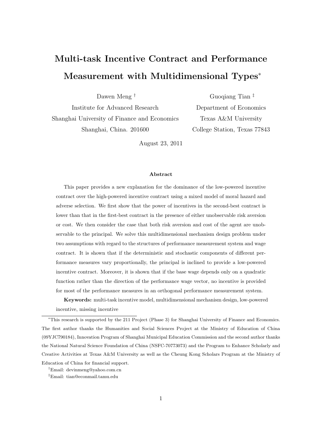# Multi-task Incentive Contract and Performance Measurement with Multidimensional Types<sup>∗</sup>

Dawen Meng †

Institute for Advanced Research Shanghai University of Finance and Economics Shanghai, China. 201600

Guoqiang Tian ‡ Department of Economics Texas A&M University College Station, Texas 77843

August 23, 2011

#### Abstract

This paper provides a new explanation for the dominance of the low-powered incentive contract over the high-powered incentive contract using a mixed model of moral hazard and adverse selection. We first show that the power of incentives in the second-best contract is lower than that in the first-best contract in the presence of either unobservable risk aversion or cost. We then consider the case that both risk aversion and cost of the agent are unobservable to the principal. We solve this multidimensional mechanism design problem under two assumptions with regard to the structures of performance measurement system and wage contract. It is shown that if the deterministic and stochastic components of different performance measures vary proportionally, the principal is inclined to provide a low-powered incentive contract. Moreover, it is shown that if the base wage depends only on a quadratic function rather than the direction of the performance wage vector, no incentive is provided for most of the performance measures in an orthogonal performance measurement system.

Keywords: multi-task incentive model, multidimensional mechanism design, low-powered incentive, missing incentive

†Email: devinmeng@yahoo.com.cn

<sup>∗</sup>This research is supported by the 211 Project (Phase 3) for Shanghai University of Finance and Economics. The first author thanks the Humanities and Social Sciences Project at the Ministry of Education of China (09YJC790184), Innovation Program of Shanghai Municipal Education Commission and the second author thanks the National Natural Science Foundation of China (NSFC-70773073) and the Program to Enhance Scholarly and Creative Activities at Texas A&M University as well as the Cheung Kong Scholars Program at the Ministry of Education of China for financial support.

<sup>‡</sup>Email: tian@econmail.tamu.edu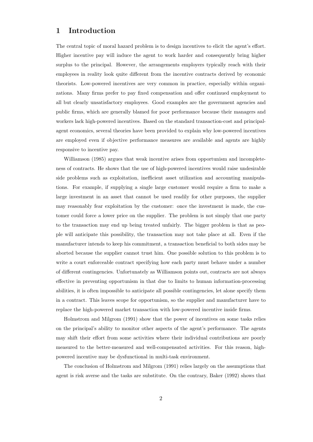### 1 Introduction

The central topic of moral hazard problem is to design incentives to elicit the agent's effort. Higher incentive pay will induce the agent to work harder and consequently bring higher surplus to the principal. However, the arrangements employers typically reach with their employees in reality look quite different from the incentive contracts derived by economic theorists. Low-powered incentives are very common in practice, especially within organizations. Many firms prefer to pay fixed compensation and offer continued employment to all but clearly unsatisfactory employees. Good examples are the government agencies and public firms, which are generally blamed for poor performance because their managers and workers lack high-powered incentives. Based on the standard transaction-cost and principalagent economics, several theories have been provided to explain why low-powered incentives are employed even if objective performance measures are available and agents are highly responsive to incentive pay.

Williamson (1985) argues that weak incentive arises from opportunism and incompleteness of contracts. He shows that the use of high-powered incentives would raise undesirable side problems such as exploitation, inefficient asset utilization and accounting manipulations. For example, if supplying a single large customer would require a firm to make a large investment in an asset that cannot be used readily for other purposes, the supplier may reasonably fear exploitation by the customer: once the investment is made, the customer could force a lower price on the supplier. The problem is not simply that one party to the transaction may end up being treated unfairly. The bigger problem is that as people will anticipate this possibility, the transaction may not take place at all. Even if the manufacturer intends to keep his commitment, a transaction beneficial to both sides may be aborted because the supplier cannot trust him. One possible solution to this problem is to write a court enforceable contract specifying how each party must behave under a number of different contingencies. Unfortunately as Williamson points out, contracts are not always effective in preventing opportunism in that due to limits to human information-processing abilities, it is often impossible to anticipate all possible contingencies, let alone specify them in a contract. This leaves scope for opportunism, so the supplier and manufacturer have to replace the high-powered market transaction with low-powered incentive inside firms.

Holmstrom and Milgrom (1991) show that the power of incentives on some tasks relies on the principal's ability to monitor other aspects of the agent's performance. The agents may shift their effort from some activities where their individual contributions are poorly measured to the better-measured and well-compensated activities. For this reason, highpowered incentive may be dysfunctional in multi-task environment.

The conclusion of Holmstrom and Milgrom (1991) relies largely on the assumptions that agent is risk averse and the tasks are substitute. On the contrary, Baker (1992) shows that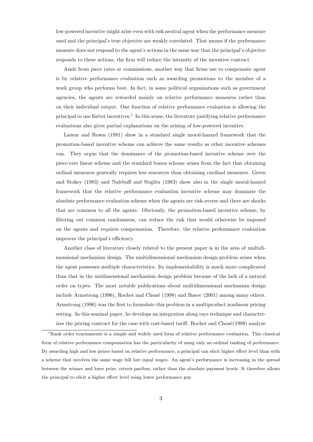low-powered incentive might arise even with risk neutral agent when the performance measure used and the principal's true objective are weakly correlated. That means if the performance measure does not respond to the agent's actions in the same way that the principal's objective responds to these actions, the firm will reduce the intensity of the incentive contract.

Aside from piece rates or commissions, another way that firms use to compensate agent is by relative performance evaluation such as awarding promotions to the member of a work group who performs best. In fact, in some political organizations such as government agencies, the agents are rewarded mainly on relative performance measures rather than on their individual output. One function of relative performance evaluation is allowing the principal to use flatter incentives.<sup>1</sup> In this sense, the literature justifying relative performance evaluations also gives partial explanations on the arising of low-powered incentive.

Lazear and Rosen (1981) show in a standard single moral-hazard framework that the promotion-based incentive scheme can achieve the same results as other incentive schemes can. They argue that the dominance of the promotion-based incentive scheme over the piece-rate linear scheme and the standard bonus scheme arises from the fact that obtaining ordinal measures generally requires less resources than obtaining cardinal measures. Green and Stokey (1983) and Nalebuff and Stiglitz (1983) show also in the single moral-hazard framework that the relative performance evaluation incentive scheme may dominate the absolute performance evaluation scheme when the agents are risk-averse and there are shocks that are common to all the agents. Obviously, the promotion-based incentive scheme, by filtering out common randomness, can reduce the risk that would otherwise be imposed on the agents and requires compensation. Therefore, the relative performance evaluation improves the principal's efficiency.

Another class of literature closely related to the present paper is in the area of multidimensional mechanism design. The multidimensional mechanism design problem arises when the agent possesses multiple characteristics. Its implementability is much more complicated than that in the unidimensional mechanism design problem because of the lack of a natural order on types. The most notable publications about multidimensional mechanism design include Armstrong (1996), Rochet and Choné (1998) and Basov (2001) among many others. Armstrong (1996) was the first to formulate this problem in a multiproduct nonlinear pricing setting. In this seminal paper, he develops an integration along rays technique and characterizes the pricing contract for the case with cost-based tariff. Rochet and Choné(1998) analyze

<sup>&</sup>lt;sup>1</sup>Rank order tournaments is a simple and widely used form of relative performance evaluation. This classical form of relative performance compensation has the particularity of using only an ordinal ranking of performance. By awarding high and low prizes based on relative performance, a principal can elicit higher effort level than with a scheme that involves the same wage bill but equal wages. An agent's performance is increasing in the spread between the winner and loser prize, ceteris paribus, rather than the absolute payment levels. It therefore allows the principal to elicit a higher effort level using lower performance pay.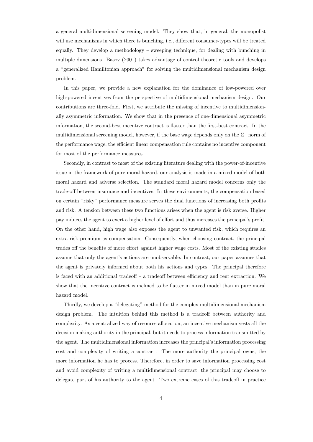a general multidimensional screening model. They show that, in general, the monopolist will use mechanisms in which there is bunching, i.e., different consumer-types will be treated equally. They develop a methodology – sweeping technique, for dealing with bunching in multiple dimensions. Basov (2001) takes advantage of control theoretic tools and develops a "generalized Hamiltonian approach" for solving the multidimensional mechanism design problem.

In this paper, we provide a new explanation for the dominance of low-powered over high-powered incentives from the perspective of multidimensional mechanism design. Our contributions are three-fold. First, we attribute the missing of incentive to multidimensionally asymmetric information. We show that in the presence of one-dimensional asymmetric information, the second-best incentive contract is flatter than the first-best contract. In the multidimensional screening model, however, if the base wage depends only on the  $\Sigma$ −norm of the performance wage, the efficient linear compensation rule contains no incentive component for most of the performance measures.

Secondly, in contrast to most of the existing literature dealing with the power-of-incentive issue in the framework of pure moral hazard, our analysis is made in a mixed model of both moral hazard and adverse selection. The standard moral hazard model concerns only the trade-off between insurance and incentives. In these environments, the compensation based on certain "risky" performance measure serves the dual functions of increasing both profits and risk. A tension between these two functions arises when the agent is risk averse. Higher pay induces the agent to exert a higher level of effort and thus increases the principal's profit. On the other hand, high wage also exposes the agent to unwanted risk, which requires an extra risk premium as compensation. Consequently, when choosing contract, the principal trades off the benefits of more effort against higher wage costs. Most of the existing studies assume that only the agent's actions are unobservable. In contrast, our paper assumes that the agent is privately informed about both his actions and types. The principal therefore is faced with an additional tradeoff – a tradeoff between efficiency and rent extraction. We show that the incentive contract is inclined to be flatter in mixed model than in pure moral hazard model.

Thirdly, we develop a "delegating" method for the complex multidimensional mechanism design problem. The intuition behind this method is a tradeoff between authority and complexity. As a centralized way of resource allocation, an incentive mechanism vests all the decision making authority in the principal, but it needs to process information transmitted by the agent. The multidimensional information increases the principal's information processing cost and complexity of writing a contract. The more authority the principal owns, the more information he has to process. Therefore, in order to save information processing cost and avoid complexity of writing a multidimensional contract, the principal may choose to delegate part of his authority to the agent. Two extreme cases of this tradeoff in practice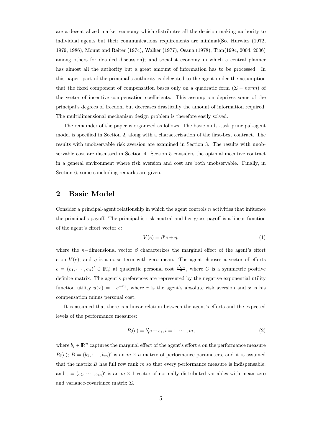are a decentralized market economy which distributes all the decision making authority to individual agents but their communications requirements are minimal(See Hurwicz (1972, 1979, 1986), Mount and Reiter (1974), Walker (1977), Osana (1978), Tian(1994, 2004, 2006) among others for detailed discussion); and socialist economy in which a central planner has almost all the authority but a great amount of information has to be processed. In this paper, part of the principal's authority is delegated to the agent under the assumption that the fixed component of compensation bases only on a quadratic form  $(\Sigma - norm)$  of the vector of incentive compensation coefficients. This assumption deprives some of the principal's degrees of freedom but decreases drastically the amount of information required. The multidimensional mechanism design problem is therefore easily solved.

The remainder of the paper is organized as follows. The basic multi-task principal-agent model is specified in Section 2, along with a characterization of the first-best contract. The results with unobservable risk aversion are examined in Section 3. The results with unobservable cost are discussed in Section 4. Section 5 considers the optimal incentive contract in a general environment where risk aversion and cost are both unobservable. Finally, in Section 6, some concluding remarks are given.

### 2 Basic Model

Consider a principal-agent relationship in which the agent controls  $n$  activities that influence the principal's payoff. The principal is risk neutral and her gross payoff is a linear function of the agent's effort vector e:

$$
V(e) = \beta' e + \eta,\tag{1}
$$

where the n-dimensional vector  $\beta$  characterizes the marginal effect of the agent's effort e on  $V(e)$ , and  $\eta$  is a noise term with zero mean. The agent chooses a vector of efforts  $e = (e_1, \dots, e_n)' \in \mathbb{R}^n_+$  at quadratic personal cost  $\frac{e'Ce}{2}$ , where C is a symmetric positive definite matrix. The agent's preferences are represented by the negative exponential utility function utility  $u(x) = -e^{-rx}$ , where r is the agent's absolute risk aversion and x is his compensation minus personal cost.

It is assumed that there is a linear relation between the agent's efforts and the expected levels of the performance measures:

$$
P_i(e) = b'_i e + \varepsilon_i, i = 1, \cdots, m,
$$
\n(2)

where  $b_i \in \mathbb{R}^n$  captures the marginal effect of the agent's effort e on the performance measure  $P_i(e)$ ;  $B = (b_1, \dots, b_m)'$  is an  $m \times n$  matrix of performance parameters, and it is assumed that the matrix  $B$  has full row rank  $m$  so that every performance measure is indispensable; and  $\epsilon = (\epsilon_1, \dots, \epsilon_m)'$  is an  $m \times 1$  vector of normally distributed variables with mean zero and variance-covariance matrix  $\Sigma$ .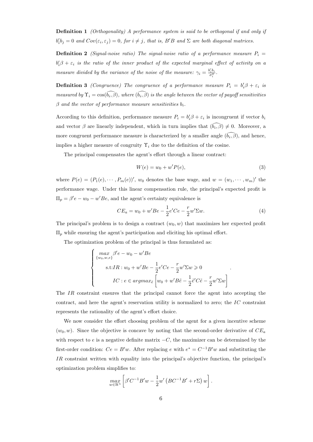Definition 1 (Orthogonality) A performance system is said to be orthogonal if and only if  $b_i'b_j = 0$  and  $Cov(\varepsilon_i, \varepsilon_j) = 0$ , for  $i \neq j$ , that is, B'B and  $\Sigma$  are both diagonal matrices.

**Definition 2** (Signal-noise ratio) The signal-noise ratio of a performance measure  $P_i =$  $b_i^{\prime}\beta + \varepsilon_i$  is the ratio of the inner product of the expected marginal effect of activity on a measure divided by the variance of the noise of the measure:  $\gamma_i = \frac{b_i' b_i}{\sigma^2}$  $\frac{\sigma_i^{\sigma_i}}{\sigma_i^2}$ .

**Definition 3** (Congruence) The congruence of a performance measure  $P_i = b_i' \beta + \varepsilon_i$  is measured by  $\Upsilon_i = \cos(b_i, \beta)$ , where  $(b_i, \beta)$  is the angle between the vector of payoff sensitivities  $\beta$  and the vector of performance measure sensitivities  $b_i$ .

According to this definition, performance measure  $P_i = b_i' \beta + \varepsilon_i$  is incongruent if vector  $b_i$ and vector  $\beta$  are linearly independent, which in turn implies that  $(b_i, \beta) \neq 0$ . Moreover, a more congruent performance measure is characterized by a smaller angle  $(b_i, \beta)$ , and hence, implies a higher measure of congruity  $\Upsilon_i$  due to the definition of the cosine.

The principal compensates the agent's effort through a linear contract:

$$
W(e) = w_0 + w'P(e),
$$
\n(3)

.

where  $P(e) = (P_1(e), \dots, P_m(e))'$ ,  $w_0$  denotes the base wage, and  $w = (w_1, \dots, w_m)'$  the performance wage. Under this linear compensation rule, the principal's expected profit is  $\Pi_p = \beta' e - w_0 - w' Be$ , and the agent's certainty equivalence is

$$
CE_a = w_0 + w'Be - \frac{1}{2}e'Ce - \frac{r}{2}w'\Sigma w.
$$
\n(4)

The principal's problem is to design a contract  $(w_0, w)$  that maximizes her expected profit  $\Pi_p$  while ensuring the agent's participation and eliciting his optimal effort.

The optimization problem of the principal is thus formulated as:

$$
\begin{cases}\n\max_{\{w_0, w, e\}} \beta' e - w_0 - w' Be \\
\text{s.t:} IR: w_0 + w' Be - \frac{1}{2} e' Ce - \frac{r}{2} w' \Sigma w \ge 0 \\
IC: e \in argmax_{\tilde{e}} \left[ w_0 + w' B \tilde{e} - \frac{1}{2} \tilde{e}' C \tilde{e} - \frac{r}{2} w' \Sigma w \right]\n\end{cases}
$$

The IR constraint ensures that the principal cannot force the agent into accepting the contract, and here the agent's reservation utility is normalized to zero; the IC constraint represents the rationality of the agent's effort choice.

We now consider the effort choosing problem of the agent for a given incentive scheme  $(w_0, w)$ . Since the objective is concave by noting that the second-order derivative of  $CE_a$ with respect to e is a negative definite matrix  $-C$ , the maximizer can be determined by the first-order condition:  $Ce = B'w$ . After replacing e with  $e^* = C^{-1}B'w$  and substituting the IR constraint written with equality into the principal's objective function, the principal's optimization problem simplifies to:

$$
\max_{w \in \mathbb{R}^n} \left[ \beta' C^{-1} B' w - \frac{1}{2} w' \left( B C^{-1} B' + r \Sigma \right) w \right].
$$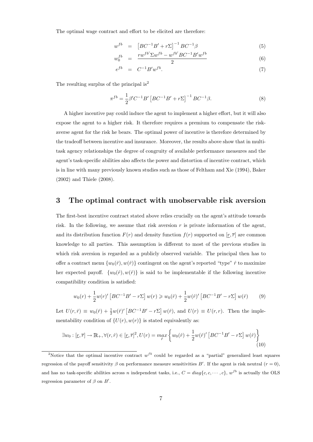The optimal wage contract and effort to be elicited are therefore:

$$
w^{fb} = \left[BC^{-1}B' + r\Sigma\right]^{-1}BC^{-1}\beta\tag{5}
$$

$$
w_0^{fb} = \frac{rw^{fb'} \Sigma w^{fb} - w^{fb'} BC^{-1} B' w^{fb}}{2}
$$
 (6)

$$
e^{fb} = C^{-1}B'w^{fb}.
$$
 (7)

The resulting surplus of the principal  $is^2$ 

$$
\pi^{fb} = \frac{1}{2}\beta'C^{-1}B'\left[BC^{-1}B' + r\Sigma\right]^{-1}BC^{-1}\beta.
$$
\n(8)

A higher incentive pay could induce the agent to implement a higher effort, but it will also expose the agent to a higher risk. It therefore requires a premium to compensate the riskaverse agent for the risk he bears. The optimal power of incentive is therefore determined by the tradeoff between incentive and insurance. Moreover, the results above show that in multitask agency relationships the degree of congruity of available performance measures and the agent's task-specific abilities also affects the power and distortion of incentive contract, which is in line with many previously known studies such as those of Feltham and Xie (1994), Baker (2002) and Thiele (2008).

### 3 The optimal contract with unobservable risk aversion

The first-best incentive contract stated above relies crucially on the agent's attitude towards risk. In the following, we assume that risk aversion  $r$  is private information of the agent, and its distribution function  $F(r)$  and density function  $f(r)$  supported on  $[r, \bar{r}]$  are common knowledge to all parties. This assumption is different to most of the previous studies in which risk aversion is regarded as a publicly observed variable. The principal then has to offer a contract menu  $\{w_0(\hat{r}), w(\hat{r})\}$  contingent on the agent's reported "type"  $\hat{r}$  to maximize her expected payoff.  $\{w_0(\hat{r}), w(\hat{r})\}$  is said to be implementable if the following incentive compatibility condition is satisfied:

$$
w_0(r) + \frac{1}{2}w(r)' \left[ BC^{-1}B' - r\Sigma \right] w(r) \geq w_0(\hat{r}) + \frac{1}{2}w(\hat{r})' \left[ BC^{-1}B' - r\Sigma \right] w(\hat{r}) \tag{9}
$$

Let  $U(r,\hat{r}) \equiv w_0(\hat{r}) + \frac{1}{2}w(\hat{r})' [BC^{-1}B' - r\Sigma] w(\hat{r}),$  and  $U(r) \equiv U(r,r)$ . Then the implementability condition of  $\{U(r),w(r)\}\)$  is stated equivalently as:

$$
\exists w_0 : [r, \overline{r}] \to \mathbb{R}_+, \forall (r, \hat{r}) \in [r, \overline{r}]^2, U(r) = \max_{\hat{r}} \left\{ w_0(\hat{r}) + \frac{1}{2} w(\hat{r})' \left[ BC^{-1}B' - r\Sigma \right] w(\hat{r}) \right\}
$$
(10)

<sup>&</sup>lt;sup>2</sup>Notice that the optimal incentive contract  $w^{fb}$  could be regarded as a "partial" generalized least squares regression of the payoff sensitivity  $\beta$  on performance measure sensitivities B'. If the agent is risk neutral  $(r = 0)$ , and has no task-specific abilities across n independent tasks, i.e.,  $C = diag\{c, c, \dots, c\}$ ,  $w^{fb}$  is actually the OLS regression parameter of  $\beta$  on  $B'$ .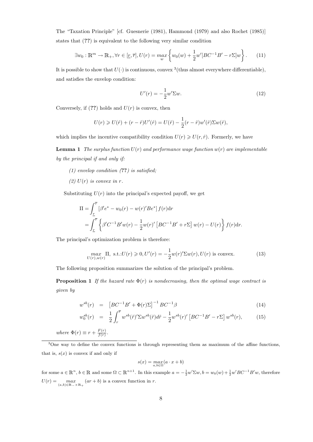The "Taxation Principle" [cf. Guesnerie (1981), Hammond (1979) and also Rochet (1985)] states that (??) is equivalent to the following very similar condition

$$
\exists w_0 : \mathbb{R}^m \to \mathbb{R}_+, \forall r \in [r, \overline{r}], U(r) = \max_w \left\{ w_0(w) + \frac{1}{2} w' [BC^{-1}B' - r\Sigma]w \right\}.
$$
 (11)

It is possible to show that  $U(\cdot)$  is continuous, convex <sup>3</sup>(thus almost everywhere differentiable), and satisfies the envelop condition:

$$
U'(r) = -\frac{1}{2}w'\Sigma w.\tag{12}
$$

Conversely, if  $(??)$  holds and  $U(r)$  is convex, then

$$
U(r) \geq U(\hat{r}) + (r - \hat{r})U'(\hat{r}) = U(\hat{r}) - \frac{1}{2}(r - \hat{r})w'(\hat{r})\Sigma w(\hat{r}),
$$

which implies the incentive compatibility condition  $U(r) \geq U(r, \hat{r})$ . Formerly, we have

**Lemma 1** The surplus function  $U(r)$  and performance wage function  $w(r)$  are implementable by the principal if and only if:

- (1) envelop condition  $(??)$  is satisfied;
- $(2) U(r)$  is convex in r.

Substituting  $U(r)$  into the principal's expected payoff, we get

$$
\Pi = \int_{\underline{r}}^{\overline{r}} \left[ \beta' e^* - w_0(r) - w(r)' B e^* \right] f(r) dr
$$
  
= 
$$
\int_{\underline{r}}^{\overline{r}} \left\{ \beta' C^{-1} B' w(r) - \frac{1}{2} w(r)' \left[ B C^{-1} B' + r \Sigma \right] w(r) - U(r) \right\} f(r) dr.
$$

The principal's optimization problem is therefore:

$$
\max_{U(r),w(r)} \Pi, \text{ s.t.: } U(r) \geq 0, U'(r) = -\frac{1}{2}w(r)'\Sigma w(r), U(r) \text{ is convex.}
$$
 (13)

The following proposition summarizes the solution of the principal's problem.

**Proposition 1** If the hazard rate  $\Phi(r)$  is nondecreasing, then the optimal wage contract is given by

$$
w^{sb}(r) = [BC^{-1}B' + \Phi(r)\Sigma]^{-1}BC^{-1}\beta
$$
\n(14)

$$
w_0^{sb}(r) = \frac{1}{2} \int_r^{\bar{r}} w^{sb}(\tilde{r})' \Sigma w^{sb}(\tilde{r}) d\tilde{r} - \frac{1}{2} w^{sb}(r)' \left[ BC^{-1}B' - r\Sigma \right] w^{sb}(r), \tag{15}
$$

where  $\Phi(r) \equiv r + \frac{F(r)}{f(r)}$  $\frac{F(T)}{f(r)}$ .

<sup>3</sup>One way to define the convex functions is through representing them as maximum of the affine functions, that is,  $s(x)$  is convex if and only if

$$
s(x) = \max_{a,b \in \Omega} (a \cdot x + b)
$$

for some  $a \in \mathbb{R}^n$ ,  $b \in \mathbb{R}$  and some  $\Omega \subset \mathbb{R}^{n+1}$ . In this example  $a = -\frac{1}{2}w'\Sigma w$ ,  $b = w_0(w) + \frac{1}{2}w'BC^{-1}B'w$ , therefore  $U(r) = \max_{(a,b)\in\mathbb{R}_-\times\mathbb{R}_+} (ar+b)$  is a convex function in r.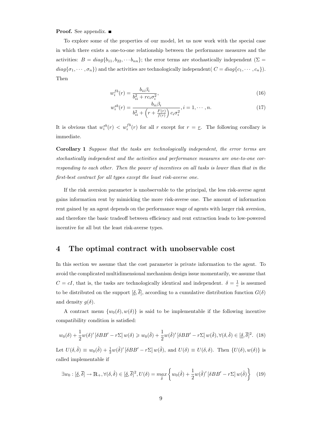**Proof.** See appendix. ■

To explore some of the properties of our model, let us now work with the special case in which there exists a one-to-one relationship between the performance measures and the activities:  $B = diag{b_{11}, b_{22}, \cdots b_{nn}}$ ; the error terms are stochastically independent ( $\Sigma =$  $diag{\lbrace \sigma_1, \cdots, \sigma_n \rbrace}$  and the activities are technologically independent(  $C = diag{\lbrace c_1, \cdots, c_n \rbrace}$ ). Then

$$
w_i^{fb}(r) = \frac{b_{ii}\beta_i}{b_{ii}^2 + rc_i\sigma_i^2},\tag{16}
$$

$$
w_i^{sb}(r) = \frac{b_{ii}\beta_i}{b_{ii}^2 + \left(r + \frac{F(r)}{f(r)}\right)c_i\sigma_i^2}, i = 1, \cdots, n.
$$
 (17)

It is obvious that  $w_i^{sb}(r) < w_i^{fb}(r)$  for all r except for  $r = r$ . The following corollary is immediate.

Corollary 1 Suppose that the tasks are technologically independent, the error terms are stochastically independent and the activities and performance measures are one-to-one corresponding to each other. Then the power of incentives on all tasks is lower than that in the first-best contract for all types except the least risk-averse one.

If the risk aversion parameter is unobservable to the principal, the less risk-averse agent gains information rent by mimicking the more risk-averse one. The amount of information rent gained by an agent depends on the performance wage of agents with larger risk aversion, and therefore the basic tradeoff between efficiency and rent extraction leads to low-powered incentive for all but the least risk-averse types.

### 4 The optimal contract with unobservable cost

In this section we assume that the cost parameter is private information to the agent. To avoid the complicated multidimensional mechanism design issue momentarily, we assume that  $C = cI$ , that is, the tasks are technologically identical and independent.  $\delta = \frac{1}{c}$  is assumed to be distributed on the support  $[\underline{\delta}, \overline{\delta}]$ , according to a cumulative distribution function  $G(\delta)$ and density  $q(\delta)$ .

A contract menu  $\{w_0(\delta), w(\delta)\}\$ is said to be implementable if the following incentive compatibility condition is satisfied:

$$
w_0(\delta) + \frac{1}{2}w(\delta)' \left[ \delta B B' - r \Sigma \right] w(\delta) \geq w_0(\hat{\delta}) + \frac{1}{2}w(\hat{\delta})' \left[ \delta B B' - r \Sigma \right] w(\hat{\delta}), \forall (\delta, \hat{\delta}) \in [\underline{\delta}, \overline{\delta}]^2. \tag{18}
$$

Let  $U(\delta, \hat{\delta}) \equiv w_0(\hat{\delta}) + \frac{1}{2}w(\hat{\delta})' [\delta B B' - r\Sigma] w(\hat{\delta}),$  and  $U(\delta) \equiv U(\delta, \delta)$ . Then  $\{U(\delta), w(\delta)\}$  is called implementable if

$$
\exists w_0 : [\underline{\delta}, \overline{\delta}] \to \mathbb{R}_+, \forall (\delta, \hat{\delta}) \in [\underline{\delta}, \overline{\delta}]^2, U(\delta) = \max_{\hat{\delta}} \left\{ w_0(\hat{\delta}) + \frac{1}{2} w(\hat{\delta})' \left[ \delta B B' - r \Sigma \right] w(\hat{\delta}) \right\} \tag{19}
$$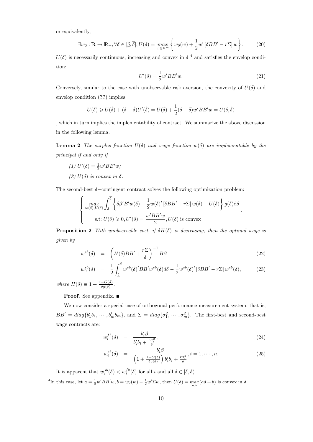or equivalently,

$$
\exists w_0 : \mathbb{R} \to \mathbb{R}_+, \forall \delta \in [\underline{\delta}, \overline{\delta}], U(\delta) = \max_{w \in \mathbb{R}^m} \left\{ w_0(w) + \frac{1}{2} w' \left[ \delta B B' - r \Sigma \right] w \right\}.
$$
 (20)

 $U(\delta)$  is necessarily continuous, increasing and convex in  $\delta$ <sup>4</sup> and satisfies the envelop condition:

$$
U'(\delta) = \frac{1}{2}w'BB'w.
$$
\n(21)

.

Conversely, similar to the case with unobservable risk aversion, the convexity of  $U(\delta)$  and envelop condition (??) implies

$$
U(\delta) \geq U(\hat{\delta}) + (\delta - \hat{\delta})U'(\hat{\delta}) = U(\hat{\delta}) + \frac{1}{2}(\delta - \hat{\delta})w'BB'w = U(\delta, \hat{\delta})
$$

, which in turn implies the implementability of contract. We summarize the above discussion in the following lemma.

**Lemma 2** The surplus function  $U(\delta)$  and wage function  $w(\delta)$  are implementable by the principal if and only if

(1) 
$$
U'(\delta) = \frac{1}{2}w'BB'w;
$$
  
(2)  $U(\delta)$  is convex in  $\delta$ .

The second-best  $\delta$ -contingent contract solves the following optimization problem:

$$
\begin{cases}\n\max_{w(\delta), U(\delta)} \int_{\underline{\delta}}^{\overline{\delta}} \left\{ \delta \beta' B' w(\delta) - \frac{1}{2} w(\delta)' \left[ \delta B B' + r \Sigma \right] w(\delta) - U(\delta) \right\} g(\delta) d\delta \\
\text{s.t: } U(\delta) \geqslant 0, U'(\delta) = \frac{w' B B' w}{2}, U(\delta) \text{ is convex}\n\end{cases}
$$

**Proposition 2** With unobservable cost, if  $\delta H(\delta)$  is decreasing, then the optimal wage is given by

$$
w^{sb}(\delta) = \left( H(\delta)BB' + \frac{r\Sigma}{\delta} \right)^{-1}B\beta \tag{22}
$$

$$
w_0^{sb}(\delta) = \frac{1}{2} \int_{\underline{\delta}}^{\delta} w^{sb}(\tilde{\delta})' BB' w^{sb}(\tilde{\delta}) d\tilde{\delta} - \frac{1}{2} w^{sb}(\delta)' [\delta B B' - r \Sigma] w^{sb}(\delta), \tag{23}
$$

where  $H(\delta) \equiv 1 + \frac{1 - G(\delta)}{\delta g(\delta)}$ .

#### **Proof.** See appendix. ■

We now consider a special case of orthogonal performance measurement system, that is,  $BB' = diag{b'_1b_1,\cdots,b'_mb_m},$  and  $\Sigma = diag{\sigma_1^2,\cdots,\sigma_m^2}.$  The first-best and second-best wage contracts are:

$$
w_i^{fb}(\delta) = \frac{b_i^{\prime} \beta}{b_i^{\prime} b_i + \frac{r \sigma_i^2}{\delta}},\tag{24}
$$

$$
w_i^{sb}(\delta) = \frac{b_i'\beta}{\left(1 + \frac{1 - G(\delta)}{\delta g(\delta)}\right)b_i'b_i + \frac{r\sigma_i^2}{\delta}}, i = 1, \cdots, n. \tag{25}
$$

It is apparent that  $w_i^{sb}(\delta) < w_i^{fb}(\delta)$  for all  $i$  and all  $\delta \in [\underline{\delta}, \overline{\delta})$ .

<sup>4</sup>In this case, let  $a = \frac{1}{2}w'BB'w$ ,  $b = w_0(w) - \frac{1}{2}w'\Sigma w$ , then  $U(\delta) = \max_{a,b}(a\delta + b)$  is convex in  $\delta$ .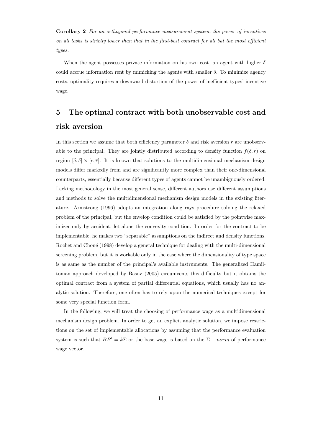Corollary 2 For an orthogonal performance measurement system, the power of incentives on all tasks is strictly lower than that in the first-best contract for all but the most efficient types.

When the agent possesses private information on his own cost, an agent with higher  $\delta$ could accrue information rent by mimicking the agents with smaller  $\delta$ . To minimize agency costs, optimality requires a downward distortion of the power of inefficient types' incentive wage.

## 5 The optimal contract with both unobservable cost and risk aversion

In this section we assume that both efficiency parameter  $\delta$  and risk aversion r are unobservable to the principal. They are jointly distributed according to density function  $f(\delta,r)$  on region  $[\delta, \overline{\delta}] \times [r, \overline{r}]$ . It is known that solutions to the multidimensional mechanism design models differ markedly from and are significantly more complex than their one-dimensional counterparts, essentially because different types of agents cannot be unambiguously ordered. Lacking methodology in the most general sense, different authors use different assumptions and methods to solve the multidimensional mechanism design models in the existing literature. Armstrong (1996) adopts an integration along rays procedure solving the relaxed problem of the principal, but the envelop condition could be satisfied by the pointwise maximizer only by accident, let alone the convexity condition. In order for the contract to be implementable, he makes two "separable" assumptions on the indirect and density functions. Rochet and Choné (1998) develop a general technique for dealing with the multi-dimensional screening problem, but it is workable only in the case where the dimensionality of type space is as same as the number of the principal's available instruments. The generalized Hamiltonian approach developed by Basov (2005) circumvents this difficulty but it obtains the optimal contract from a system of partial differential equations, which usually has no analytic solution. Therefore, one often has to rely upon the numerical techniques except for some very special function form.

In the following, we will treat the choosing of performance wage as a multidimensional mechanism design problem. In order to get an explicit analytic solution, we impose restrictions on the set of implementable allocations by assuming that the performance evaluation system is such that  $BB' = k\Sigma$  or the base wage is based on the  $\Sigma$  – norm of performance wage vector.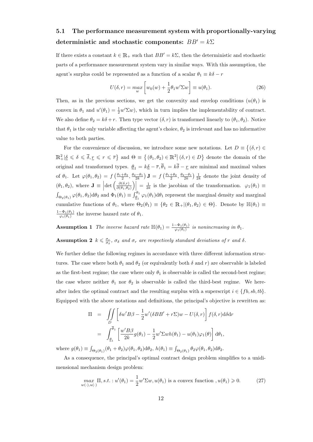### 5.1 The performance measurement system with proportionally-varying deterministic and stochastic components:  $BB' = k\Sigma$

If there exists a constant  $k \in \mathbb{R}_+$  such that  $BB' = k\Sigma$ , then the deterministic and stochastic parts of a performance measurement system vary in similar ways. With this assumption, the agent's surplus could be represented as a function of a scalar  $\theta_1 \equiv k\delta - r$ 

$$
U(\delta, r) = \max_{w} \left[ w_0(w) + \frac{1}{2} \theta_1 w' \Sigma w \right] \equiv u(\theta_1). \tag{26}
$$

Then, as in the previous sections, we get the convexity and envelop conditions  $(u(\theta_1))$  is convex in  $\theta_1$  and  $u'(\theta_1) = \frac{1}{2}w'\Sigma w$ , which in turn implies the implementability of contract. We also define  $\theta_2 = k\delta + r$ . Then type vector  $(\delta, r)$  is transformed linearly to  $(\theta_1, \theta_2)$ . Notice that  $\theta_1$  is the only variable affecting the agent's choice,  $\theta_2$  is irrelevant and has no informative value to both parties.

For the convenience of discussion, we introduce some new notations. Let  $D \equiv \big\{(\delta, r) \in$  $\mathbb{R}^2_+|\underline{\delta} \leq \delta \leq \overline{\delta}, \underline{r} \leq r \leq \overline{r} \}$  and  $\Theta \equiv \{(\theta_1, \theta_2) \in \mathbb{R}^2 | (\delta, r) \in D\}$  denote the domain of the original and transformed types.  $\underline{\theta}_1 = k\underline{\delta} - \overline{r}, \overline{\theta}_1 = k\overline{\delta} - \underline{r}$  are minimal and maximal values of  $\theta_1$ . Let  $\varphi(\theta_1, \theta_2) = f\left(\frac{\theta_1 + \theta_2}{2}, \frac{\theta_2 - \theta_1}{2k}\right) \mathbf{J} = f\left(\frac{\theta_1 + \theta_2}{2}, \frac{\theta_2 - \theta_1}{2k}\right) \frac{1}{2k}$  denote the joint density of  $(\theta_1, \theta_2)$ , where  $\mathbf{J} \equiv \begin{vmatrix} \det \begin{pmatrix} \frac{\partial(\delta,r)}{\partial(\theta_1,\theta_2)} \end{pmatrix} \end{vmatrix}$  $\partial(\theta_1,\theta_2)$  $\mathcal{O}\left(\frac{1}{2k}\right)$  is the jacobian of the transformation.  $\varphi_1(\theta_1) \equiv$  $\int_{\Theta_2(\theta_1)} \varphi(\theta_1, \theta_2) d\theta_2$  and  $\Phi_1(\theta_1) \equiv \int_{\theta_1}^{\theta_1} \varphi_1(\theta_1) d\theta_1$  represent the marginal density and marginal cumulative functions of  $\theta_1$ , where  $\Theta_2(\theta_1) \equiv {\theta_2 \in \mathbb{R}_+ | (\theta_1, \theta_2) \in \Theta}$ . Denote by  $\mathbb{H}(\theta_1) \equiv$  $\frac{1-\Phi_1(\theta_1)}{\varphi_1(\theta_1)}$  the inverse hazard rate of  $\theta_1$ .

**Assumption 1** The inverse hazard rate  $\mathbb{H}(\theta_1) = \frac{1-\Phi_1(\theta_1)}{\varphi_1(\theta_1)}$  is nonincreasing in  $\theta_1$ .

**Assumption 2**  $k \leq \frac{\sigma_r}{\sigma_\delta}$ ,  $\sigma_\delta$  and  $\sigma_r$  are respectively standard deviations of r and  $\delta$ .

We further define the following regimes in accordance with three different information structures. The case where both  $\theta_1$  and  $\theta_2$  (or equivalently both  $\delta$  and  $r$ ) are observable is labeled as the first-best regime; the case where only  $\theta_1$  is observable is called the second-best regime; the case where neither  $\theta_1$  nor  $\theta_2$  is observable is called the third-best regime. We hereafter index the optimal contract and the resulting surplus with a superscript  $i \in \{fb, sb, tb\}$ . Equipped with the above notations and definitions, the principal's objective is rewritten as:

$$
\Pi = \iint\limits_{D} \left[ \delta w' B \beta - \frac{1}{2} w' (\delta B B' + r \Sigma) w - U(\delta, r) \right] f(\delta, r) d\delta dr
$$
  

$$
= \int_{\underline{\theta_1}}^{\overline{\theta_1}} \left[ \frac{w' B \beta}{2k} g(\theta_1) - \frac{1}{2} w' \Sigma wh(\theta_1) - u(\theta_1) \varphi_1(\theta) \right] d\theta_1,
$$

where  $g(\theta_1) \equiv \int_{\Theta_2(\theta_1)} (\theta_1 + \theta_2) \varphi(\theta_1, \theta_2) d\theta_2$ ,  $h(\theta_1) \equiv \int_{\Theta_2(\theta_1)} \theta_2 \varphi(\theta_1, \theta_2) d\theta_2$ .

As a consequence, the principal's optimal contract design problem simplifies to a unidimensional mechanism design problem:

$$
\max_{w(\cdot), u(\cdot)} \Pi, s.t. : u'(\theta_1) = \frac{1}{2} w' \Sigma w, u(\theta_1) \text{ is a convex function }, u(\theta_1) \geq 0. \tag{27}
$$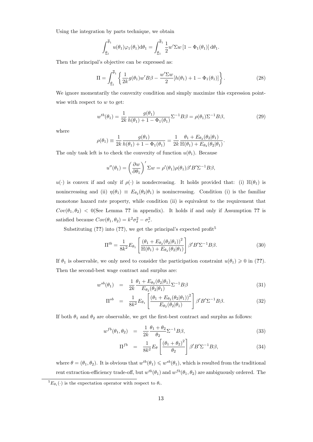Using the integration by parts technique, we obtain

$$
\int_{\underline{\theta}_1}^{\overline{\theta}_1} u(\theta_1)\varphi_1(\theta_1) d\theta_1 = \int_{\underline{\theta}_1}^{\overline{\theta}_1} \frac{1}{2} w' \Sigma w [1 - \Phi_1(\theta_1)] d\theta_1.
$$

Then the principal's objective can be expressed as:

$$
\Pi = \int_{\underline{\theta}_1}^{\overline{\theta}_1} \left\{ \frac{1}{2k} g(\theta_1) w' B \beta - \frac{w' \Sigma w}{2} [h(\theta_1) + 1 - \Phi_1(\theta_1)] \right\}.
$$
 (28)

We ignore momentarily the convexity condition and simply maximize this expression pointwise with respect to  $w$  to get:

$$
w^{tb}(\theta_1) = \frac{1}{2k} \frac{g(\theta_1)}{h(\theta_1) + 1 - \Phi_1(\theta_1)} \Sigma^{-1} B\beta = \rho(\theta_1) \Sigma^{-1} B\beta,
$$
\n(29)

where

$$
\rho(\theta_1) \equiv \frac{1}{2k} \frac{g(\theta_1)}{h(\theta_1) + 1 - \Phi_1(\theta_1)} = \frac{1}{2k} \frac{\theta_1 + E_{\theta_2}(\theta_2 | \theta_1)}{\mathbb{H}(\theta_1) + E_{\theta_2}(\theta_2 | \theta_1)}.
$$

The only task left is to check the convexity of function  $u(\theta_1)$ . Because

$$
u''(\theta_1) = \left(\frac{\partial w}{\partial \theta_1}\right)' \Sigma w = \rho'(\theta_1)\rho(\theta_1)\beta'B'\Sigma^{-1}B\beta,
$$

u(·) is convex if and only if  $\rho(\cdot)$  is nondecreasing. It holds provided that: (i)  $\mathbb{H}(\theta_1)$  is nonincreasing and (ii)  $\eta(\theta_1) \equiv E_{\theta_2}(\theta_2|\theta_1)$  is nonincreasing. Condition (i) is the familiar monotone hazard rate property, while condition (ii) is equivalent to the requirement that  $Cov(\theta_1, \theta_2)$  < 0(See Lemma ?? in appendix). It holds if and only if Assumption ?? is satisfied because  $Cov(\theta_1, \theta_2) = k^2 \sigma_{\delta}^2 - \sigma_r^2$ .

Substituting  $(??)$  into  $(??)$ , we get the principal's expected profit<sup>5</sup>

$$
\Pi^{tb} = \frac{1}{8k^2} E_{\theta_1} \left[ \frac{\left(\theta_1 + E_{\theta_2}(\theta_2|\theta_1)\right)^2}{\mathbb{H}(\theta_1) + E_{\theta_2}(\theta_2|\theta_1)} \right] \beta' B' \Sigma^{-1} B \beta. \tag{30}
$$

If  $\theta_1$  is observable, we only need to consider the participation constraint  $u(\theta_1) \geq 0$  in (??). Then the second-best wage contract and surplus are:

$$
w^{sb}(\theta_1) = \frac{1}{2k} \frac{\theta_1 + E_{\theta_2}(\theta_2 | \theta_1)}{E_{\theta_2}(\theta_2 | \theta_1)} \Sigma^{-1} B \beta \tag{31}
$$

$$
\Pi^{sb} = \frac{1}{8k^2} E_{\theta_1} \left[ \frac{\left(\theta_1 + E_{\theta_2}(\theta_2|\theta_1)\right)^2}{E_{\theta_2}(\theta_2|\theta_1)} \right] \beta' B' \Sigma^{-1} B \beta. \tag{32}
$$

If both  $\theta_1$  and  $\theta_2$  are observable, we get the first-best contract and surplus as follows:

$$
w^{fb}(\theta_1, \theta_2) = \frac{1}{2k} \frac{\theta_1 + \theta_2}{\theta_2} \Sigma^{-1} B\beta,
$$
\n(33)

$$
\Pi^{fb} = \frac{1}{8k^2} E_{\theta} \left[ \frac{(\theta_1 + \theta_2)^2}{\theta_2} \right] \beta' B' \Sigma^{-1} B \beta, \tag{34}
$$

where  $\theta = (\theta_1, \theta_2)$ . It is obvious that  $w^{tb}(\theta_1) \leq w^{sb}(\theta_1)$ , which is resulted from the traditional rent extraction-efficiency trade-off, but  $w^{tb}(\theta_1)$  and  $w^{fb}(\theta_1, \theta_2)$  are ambiguously ordered. The

 ${}^5E_{\theta_i}(\cdot)$  is the expectation operator with respect to  $\theta_i$ .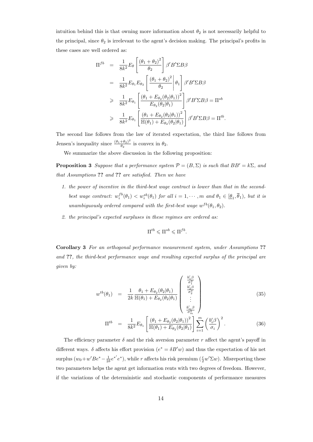intuition behind this is that owning more information about  $\theta_2$  is not necessarily helpful to the principal, since  $\theta_2$  is irrelevant to the agent's decision making. The principal's profits in these cases are well ordered as:

$$
\Pi^{fb} = \frac{1}{8k^2} E_{\theta} \left[ \frac{(\theta_1 + \theta_2)^2}{\theta_2} \right] \beta' B' \Sigma B \beta
$$
  
\n
$$
= \frac{1}{8k^2} E_{\theta_1} E_{\theta_2} \left[ \frac{(\theta_1 + \theta_2)^2}{\theta_2} \right] \theta_1 \right] \beta' B' \Sigma B \beta
$$
  
\n
$$
\geq \frac{1}{8k^2} E_{\theta_1} \left[ \frac{(\theta_1 + E_{\theta_2}(\theta_2 | \theta_1))^2}{E_{\theta_2}(\theta_2 | \theta_1)} \right] \beta' B' \Sigma B \beta = \Pi^{sb}
$$
  
\n
$$
\geq \frac{1}{8k^2} E_{\theta_1} \left[ \frac{(\theta_1 + E_{\theta_2}(\theta_2 | \theta_1))^2}{\mathbb{H}(\theta_1) + E_{\theta_2}(\theta_2 | \theta_1)} \right] \beta' B' \Sigma B \beta = \Pi^{tb}
$$

The second line follows from the law of iterated expectation, the third line follows from Jensen's inequality since  $\frac{(\theta_1 + \theta_2)^2}{\theta_2}$  $rac{\theta_2}{\theta_2}$  is convex in  $\theta_2$ .

.

We summarize the above discussion in the following proposition:

**Proposition 3** Suppose that a performance system  $\mathcal{P} = (B, \Sigma)$  is such that  $BB' = k\Sigma$ , and that Assumptions ?? and ?? are satisfied. Then we have

- 1. the power of incentive in the third-best wage contract is lower than that in the secondbest wage contract:  $w_i^{fb}(\theta_1) < w_i^{sb}(\theta_1)$  for all  $i = 1, \dots, m$  and  $\theta_1 \in [\underline{\theta}_1, \overline{\theta}_1)$ , but it is unambiguously ordered compared with the first-best wage  $w^{fb}(\theta_1, \theta_2)$ .
- 2. the principal's expected surpluses in these regimes are ordered as:

$$
\Pi^{tb} \leqslant \Pi^{sb} \leqslant \Pi^{fb}.
$$

Corollary 3 For an orthogonal performance measurement system, under Assumptions ?? and ??, the third-best performance wage and resulting expected surplus of the principal are given by:

$$
w^{tb}(\theta_1) = \frac{1}{2k} \frac{\theta_1 + E_{\theta_2}(\theta_2 | \theta_1)}{\mathbb{H}(\theta_1) + E_{\theta_2}(\theta_2 | \theta_1)} \begin{pmatrix} \frac{b'_1 \beta}{\sigma_1^2} \\ \frac{b'_2 \beta}{\sigma_2^2} \\ \vdots \\ \frac{b'_\beta \beta}{\sigma_1^2} \end{pmatrix}
$$
(35)

$$
\Pi^{tb} = \frac{1}{8k^2} E_{\theta_1} \left[ \frac{\left(\theta_1 + E_{\theta_2}(\theta_2 | \theta_1)\right)^2}{\mathbb{H}(\theta_1) + E_{\theta_2}(\theta_2 | \theta_1)} \right] \sum_{i=1}^m \left( \frac{b_i^i \beta}{\sigma_i} \right)^2.
$$
 (36)

The efficiency parameter  $\delta$  and the risk aversion parameter r affect the agent's payoff in different ways.  $\delta$  affects his effort provision  $(e^* = \delta B'w)$  and thus the expectation of his net surplus  $(w_0 + w'Be^* - \frac{1}{2\delta}e^{*'}e^*)$ , while r affects his risk premium  $(\frac{r}{2}w'\Sigma w)$ . Misreporting these two parameters helps the agent get information rents with two degrees of freedom. However, if the variations of the deterministic and stochastic components of performance measures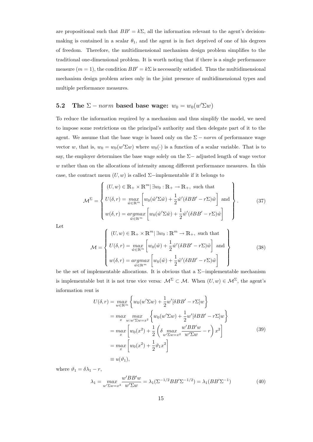are propositional such that  $BB' = k\Sigma$ , all the information relevant to the agent's decisionmaking is contained in a scalar  $\theta_1$ , and the agent is in fact deprived of one of his degrees of freedom. Therefore, the multidimensional mechanism design problem simplifies to the traditional one-dimensional problem. It is worth noting that if there is a single performance measure  $(m = 1)$ , the condition  $BB' = k\Sigma$  is necessarily satisfied. Thus the multidimensional mechanism design problem arises only in the joint presence of multidimensional types and multiple performance measures.

## 5.2 The  $\Sigma$  – norm based base wage:  $w_0 = w_0(w'\Sigma w)$

To reduce the information required by a mechanism and thus simplify the model, we need to impose some restrictions on the principal's authority and then delegate part of it to the agent. We assume that the base wage is based only on the  $\Sigma$  – norm of performance wage vector w, that is,  $w_0 = w_0(w'\Sigma w)$  where  $w_0(\cdot)$  is a function of a scalar variable. That is to say, the employer determines the base wage solely on the  $\Sigma-$  adjusted length of wage vector w rather than on the allocations of intensity among different performance measures. In this case, the contract menu  $(U, w)$  is called  $\Sigma$ −implementable if it belongs to

$$
\mathcal{M}^{\Sigma} = \begin{cases} (U, w) \in \mathbb{R}_{+} \times \mathbb{R}^{m} | \exists w_{0} : \mathbb{R}_{+} \to \mathbb{R}_{+}, \text{ such that} \\ U(\delta, r) = \max_{\tilde{w} \in \mathbb{R}^{m}} \left[ w_{0}(\tilde{w}' \Sigma \tilde{w}) + \frac{1}{2} \tilde{w}'(\delta B B' - r \Sigma) \tilde{w} \right] \text{ and} \\ w(\delta, r) = \underset{\tilde{w} \in \mathbb{R}^{m}}{\operatorname{argmax}} \left[ w_{0}(\tilde{w}' \Sigma \tilde{w}) + \frac{1}{2} \tilde{w}'(\delta B B' - r \Sigma) \tilde{w} \right] \end{cases}
$$
(37)

Let

$$
\mathcal{M} = \begin{cases}\n(U, w) \in \mathbb{R}_+ \times \mathbb{R}^m | \exists w_0 : \mathbb{R}^m \to \mathbb{R}_+, \text{ such that} \\
U(\delta, r) = \max_{\tilde{w} \in \mathbb{R}^m} \left[ w_0(\tilde{w}) + \frac{1}{2} \tilde{w}' (\delta B B' - r \Sigma) \tilde{w} \right] \text{ and} \\
w(\delta, r) = \operatorname*{argmax}_{\tilde{w} \in \mathbb{R}^m} \left[ w_0(\tilde{w}) + \frac{1}{2} \tilde{w}' (\delta B B' - r \Sigma) \tilde{w} \right]\n\end{cases}
$$
\n(38)

be the set of implementable allocations. It is obvious that a Σ−implementable mechanism is implementable but it is not true vice versa:  $\mathcal{M}^{\Sigma} \subset \mathcal{M}$ . When  $(U, w) \in \mathcal{M}^{\Sigma}$ , the agent's information rent is

$$
U(\delta, r) = \max_{w \in \mathbb{R}^m} \left\{ w_0(w' \Sigma w) + \frac{1}{2} w' [\delta B B' - r \Sigma] w \right\}
$$
  
\n
$$
= \max_{x} \max_{w:w' \Sigma w = x^2} \left\{ w_0(w' \Sigma w) + \frac{1}{2} w' [\delta B B' - r \Sigma] w \right\}
$$
  
\n
$$
= \max_{x} \left[ w_0(x^2) + \frac{1}{2} \left( \delta \max_{w' \Sigma w = x^2} \frac{w' B B' w}{w' \Sigma w} - r \right) x^2 \right]
$$
  
\n
$$
= \max_{x} \left[ w_0(x^2) + \frac{1}{2} \vartheta_1 x^2 \right]
$$
  
\n
$$
\equiv u(\vartheta_1), \tag{39}
$$

where  $\vartheta_1 = \delta \lambda_1 - r$ ,

$$
\lambda_1 = \max_{w' \Sigma w = x^2} \frac{w' B B' w}{w' \Sigma w} = \lambda_1 (\Sigma^{-1/2} B B' \Sigma^{-1/2}) = \lambda_1 (B B' \Sigma^{-1})
$$
(40)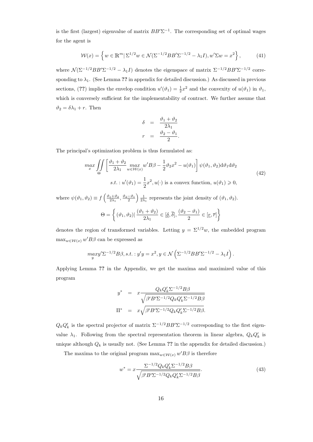is the first (largest) eigenvalue of matrix  $BB'\Sigma^{-1}$ . The corresponding set of optimal wages for the agent is

$$
\mathcal{W}(x) = \left\{ w \in \mathbb{R}^m \vert \Sigma^{1/2} w \in \mathcal{N}(\Sigma^{-1/2} BB' \Sigma^{-1/2} - \lambda_1 I), w' \Sigma w = x^2 \right\},\tag{41}
$$

where  $\mathcal{N}(\Sigma^{-1/2}BB'\Sigma^{-1/2}-\lambda_1I)$  denotes the eigenspace of matrix  $\Sigma^{-1/2}BB'\Sigma^{-1/2}$  corresponding to  $\lambda_1$ . (See Lemma ?? in appendix for detailed discussion.) As discussed in previous sections, (??) implies the envelop condition  $u'(\vartheta_1) = \frac{1}{2}x^2$  and the convexity of  $u(\vartheta_1)$  in  $\vartheta_1$ , which is conversely sufficient for the implementability of contract. We further assume that  $\vartheta_2 = \delta \lambda_1 + r$ . Then

$$
\delta = \frac{\vartheta_1 + \vartheta_2}{2\lambda_1}
$$

$$
r = \frac{\vartheta_2 - \vartheta_1}{2}.
$$

The principal's optimization problem is thus formulated as:

$$
\max_{x} \iint_{\Theta} \left[ \frac{\vartheta_1 + \vartheta_2}{2\lambda_1} \max_{w \in \mathcal{W}(x)} w' B \beta - \frac{1}{2} \vartheta_2 x^2 - u(\vartheta_1) \right] \psi(\vartheta_1, \vartheta_2) d\vartheta_1 d\vartheta_2
$$
  
s.t. :  $u'(\vartheta_1) = \frac{1}{2} x^2, u(\cdot)$  is a convex function,  $u(\vartheta_1) \ge 0$ , (42)

where  $\psi(\vartheta_1, \vartheta_2) \equiv f\left(\frac{\vartheta_1 + \vartheta_2}{2\lambda_1}, \frac{\vartheta_2 - \vartheta_1}{2}\right)$  $\left( \frac{1}{2\lambda_1} \right)$  represents the joint density of  $(\vartheta_1, \vartheta_2)$ .

$$
\Theta = \left\{ (\vartheta_1, \vartheta_2) | \, \frac{(\vartheta_1 + \vartheta_2)}{2\lambda_1} \in [\underline{\delta}, \overline{\delta}], \frac{(\vartheta_2 - \vartheta_1)}{2} \in [\underline{r}, \overline{r}] \right\}
$$

denotes the region of transformed variables. Letting  $y = \Sigma^{1/2}w$ , the embedded program  $\max_{w \in \mathcal{W}(x)} w'B\beta$  can be expressed as

max y y ′Σ <sup>−</sup>1/<sup>2</sup>Bβ, s.t. : y ′ y = x 2 ,y ∈ N <sup>³</sup> Σ <sup>−</sup>1/<sup>2</sup>BB′Σ <sup>−</sup>1/<sup>2</sup> <sup>−</sup> <sup>λ</sup>1<sup>I</sup> ´ .

Applying Lemma ?? in the Appendix, we get the maxima and maximized value of this program

$$
y^* = x \frac{Q_k Q'_k \Sigma^{-1/2} B \beta}{\sqrt{\beta' B' \Sigma^{-1/2} Q_k Q'_k \Sigma^{-1/2} B \beta}}
$$
  

$$
\Pi^* = x \sqrt{\beta' B' \Sigma^{-1/2} Q_k Q'_k \Sigma^{-1/2} B \beta}.
$$

 $Q_k Q'_k$  is the spectral projector of matrix  $\Sigma^{-1/2} BB' \Sigma^{-1/2}$  corresponding to the first eigenvalue  $\lambda_1$ . Following from the spectral representation theorem in linear algebra,  $Q_k Q'_k$  is unique although  $Q_k$  is usually not. (See Lemma ?? in the appendix for detailed discussion.)

The maxima to the original program  $\max_{w \in \mathcal{W}(x)} w'B\beta$  is therefore

$$
w^* = x \frac{\Sigma^{-1/2} Q_k Q'_k \Sigma^{-1/2} B \beta}{\sqrt{\beta' B' \Sigma^{-1/2} Q_k Q'_k \Sigma^{-1/2} B \beta}}.
$$
(43)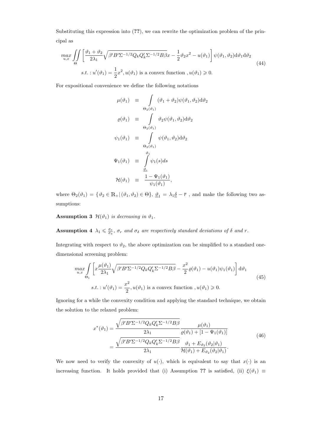Substituting this expression into  $(??)$ , we can rewrite the optimization problem of the principal as

$$
\max_{u,x} \iint_{\Theta} \left[ \frac{\vartheta_1 + \vartheta_2}{2\lambda_1} \sqrt{\beta' B' \Sigma^{-1/2} Q_k Q_k' \Sigma^{-1/2} B \beta x} - \frac{1}{2} \vartheta_2 x^2 - u(\vartheta_1) \right] \psi(\vartheta_1, \vartheta_2) d\vartheta_1 d\vartheta_2
$$
\n
$$
s.t. : u'(\vartheta_1) = \frac{1}{2} x^2, u(\vartheta_1) \text{ is a convex function }, u(\vartheta_1) \ge 0.
$$
\n
$$
(44)
$$

For expositional convenience we define the following notations

$$
\begin{array}{rcl}\n\mu(\vartheta_1) & \equiv & \displaystyle \int_{\Theta_2(\vartheta_1)} (\vartheta_1+\vartheta_2)\psi(\vartheta_1,\vartheta_2)\mathrm{d}\vartheta_2 \\
\varrho(\vartheta_1) & \equiv & \displaystyle \int_{\Theta_2(\vartheta_1)} \vartheta_2\psi(\vartheta_1,\vartheta_2)\mathrm{d}\vartheta_2 \\
\psi_1(\vartheta_1) & \equiv & \displaystyle \int_{\Theta_2(\vartheta_1)} \psi(\vartheta_1,\vartheta_2)\mathrm{d}\vartheta_2 \\
\Psi_1(\vartheta_1) & \equiv & \displaystyle \int_{\vartheta_1} \psi_1(s)ds \\
\mathcal{H}(\vartheta_1) & \equiv & \displaystyle \frac{1-\Psi_1(\vartheta_1)}{\psi_1(\vartheta_1)},\n\end{array}
$$

where  $\Theta_2(\vartheta_1) = {\vartheta_2 \in \mathbb{R}_+ | (\vartheta_1, \vartheta_2) \in \Theta}, \underline{\vartheta_1} = \lambda_1 \underline{\delta} - \overline{r}$ , and make the following two assumptions:

**Assumption 3**  $\mathcal{H}(\vartheta_1)$  is decreasing in  $\vartheta_1$ .

**Assumption 4**  $\lambda_1 \leq \frac{\sigma_r}{\sigma_\delta}$ ,  $\sigma_r$  and  $\sigma_\delta$  are respectively standard deviations of  $\delta$  and  $r$ .

Integrating with respect to  $\vartheta_2$ , the above optimization can be simplified to a standard onedimensional screening problem:

$$
\max_{u,x} \int_{\Theta_1} \left[ x \frac{\mu(\vartheta_1)}{2\lambda_1} \sqrt{\beta' B' \Sigma^{-1/2} Q_k Q_k' \Sigma^{-1/2} B \beta} - \frac{x^2}{2} \varrho(\vartheta_1) - u(\vartheta_1) \psi_1(\vartheta_1) \right] d\vartheta_1
$$
\n
$$
s.t. : u'(\vartheta_1) = \frac{x^2}{2}, u(\vartheta_1) \text{ is a convex function }, u(\vartheta_1) \ge 0.
$$
\n
$$
(45)
$$

Ignoring for a while the convexity condition and applying the standard technique, we obtain the solution to the relaxed problem:

$$
x^*(\vartheta_1) = \frac{\sqrt{\beta' B' \Sigma^{-1/2} Q_k Q_k' \Sigma^{-1/2} B \beta}}{2\lambda_1} \frac{\mu(\vartheta_1)}{\varrho(\vartheta_1) + [1 - \Psi_1(\vartheta_1)]}
$$
  
= 
$$
\frac{\sqrt{\beta' B' \Sigma^{-1/2} Q_k Q_k' \Sigma^{-1/2} B \beta}}{2\lambda_1} \frac{\vartheta_1 + E_{\vartheta_2}(\vartheta_2 | \vartheta_1)}{\mathcal{H}(\vartheta_1) + E_{\vartheta_2}(\vartheta_2 | \vartheta_1)}.
$$
 (46)

We now need to verify the convexity of  $u(\cdot)$ , which is equivalent to say that  $x(\cdot)$  is an increasing function. It holds provided that (i) Assumption ?? is satisfied, (ii)  $\xi(\vartheta_1) \equiv$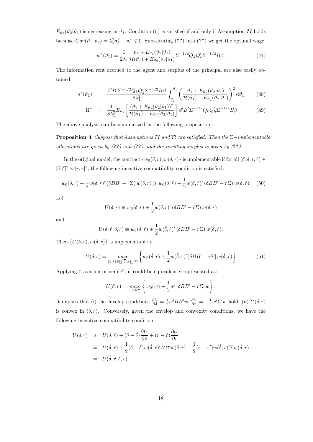$E_{\vartheta_2}(\vartheta_2|\vartheta_1)$  is decreasing in  $\vartheta_1$ . Condition (ii) is satisfied if and only if Assumption ?? holds because  $Cov(\vartheta_1, \vartheta_2) = \lambda_1^2 \sigma_{\delta}^2 - \sigma_r^2 \leq 0$ . Substituting (??) into (??) we get the optimal wage

$$
w^*(\vartheta_1) = \frac{1}{2\lambda_1} \frac{\vartheta_1 + E_{\vartheta_2}(\vartheta_2|\vartheta_1)}{\mathcal{H}(\vartheta_1) + E_{\vartheta_2}(\vartheta_2|\vartheta_1)} \Sigma^{-1/2} Q_k Q_k' \Sigma^{-1/2} B \beta.
$$
 (47)

The information rent accrued to the agent and surplus of the principal are also easily obtained:

$$
u^*(\vartheta_1) = \frac{\beta' B' \Sigma^{-1/2} Q_k Q_k' \Sigma^{-1/2} B \beta}{8\lambda_1^2} \int_{\underline{\vartheta}_1}^{\vartheta_1} \left( \frac{\vartheta_1 + E_{\vartheta_2}(\vartheta_2 | \vartheta_1)}{\mathcal{H}(\vartheta_1) + E_{\vartheta_2}(\vartheta_2 | \vartheta_1)} \right)^2 d\vartheta_1 \tag{48}
$$

$$
\Pi^* = \frac{1}{8\lambda_1^2} E_{\vartheta_1} \left[ \frac{(\vartheta_1 + E_{\vartheta_2}(\vartheta_2|\vartheta_1))^2}{\mathcal{H}(\vartheta_1) + E_{\vartheta_2}(\vartheta_2|\vartheta_1)} \right] \beta' B' \Sigma^{-1/2} Q_k Q'_k \Sigma^{-1/2} B \beta. \tag{49}
$$

The above analysis can be summarized in the following proposition.

Proposition 4 Suppose that Assumptions ?? and ?? are satisfied. Then the Σ−implementable allocations are given by  $(??)$  and  $(??)$ , and the resulting surplus is given by  $(??)$ .

In the original model, the contract  $\{w_0(\delta,r),w(\delta,r)\}$  is implementable if for all  $(\delta,\hat{\delta},r,\hat{r}) \in$  $[\underline{\delta}, \overline{\delta}]^2 \times [\underline{r}, \overline{r}]^2$ , the following incentive compatibility condition is satisfied:

$$
w_0(\delta, r) + \frac{1}{2}w(\delta, r)'(\delta BB' - r\Sigma) w(\delta, r) \geq w_0(\hat{\delta}, \hat{r}) + \frac{1}{2}w(\hat{\delta}, \hat{r})'(\delta BB' - r\Sigma) w(\hat{\delta}, \hat{r}).
$$
 (50)

Let

$$
U(\delta, r) \equiv w_0(\delta, r) + \frac{1}{2}w(\delta, r)' (\delta BB' - r\Sigma) w(\delta, r)
$$

and

$$
U(\hat{\delta}, \hat{r}; \delta, r) \equiv w_0(\hat{\delta}, \hat{r}) + \frac{1}{2} w(\hat{\delta}, \hat{r})' (\delta B B' - r \Sigma) w(\hat{\delta}, \hat{r}).
$$

Then  $\{U(\delta,r),w(\delta,r)\}\$ is implementable if

$$
U(\delta, r) = \max_{(\hat{\delta}, \hat{r}) \in [\underline{\delta}, \overline{\delta}] \times [\underline{r}, \overline{r}]} \left\{ w_0(\hat{\delta}, \hat{r}) + \frac{1}{2} w(\hat{\delta}, \hat{r})' [\delta B B' - r \Sigma] w(\hat{\delta}, \hat{r}) \right\}
$$
(51)

Applying "taxation principle", it could be equivalently represented as:

$$
U(\delta,r) = \max_{w \in \mathbb{R}^m} \left\{ w_0(w) + \frac{1}{2} w' \left[ \delta B B' - r \Sigma \right] w \right\}.
$$

It implies that (i) the envelop conditions  $\frac{\partial U}{\partial \delta} = \frac{1}{2}w'BB'w$ ,  $\frac{\partial U}{\partial r} = -\frac{1}{2}w'\Sigma'w$  hold; (ii)  $U(\delta, r)$ is convex in  $(\delta, r)$ . Conversely, given the envelop and convexity conditions, we have the following incentive compatibility condition:

$$
U(\delta, r) \geq U(\hat{\delta}, \hat{r}) + (\delta - \hat{\delta}) \frac{\partial U}{\partial \delta} + (r - \hat{r}) \frac{\partial U}{\partial r}
$$
  
= 
$$
U(\hat{\delta}, \hat{r}) + \frac{1}{2} (\delta - \hat{\delta}) w(\hat{\delta}, \hat{r})' B B' w(\hat{\delta}, \hat{r}) - \frac{1}{2} (r - r') w(\hat{\delta}, \hat{r})' \Sigma w(\hat{\delta}, \hat{r})
$$
  
= 
$$
U(\hat{\delta}, \hat{r}, \delta, r).
$$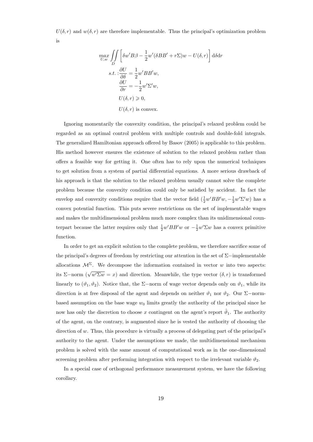$U(\delta,r)$  and  $w(\delta,r)$  are therefore implementable. Thus the principal's optimization problem is

$$
\max_{U,w} \iint_{D} \left[ \delta w' B \beta - \frac{1}{2} w' (\delta B B' + r \Sigma) w - U(\delta, r) \right] d\delta dr
$$
  
s.t. 
$$
\frac{\partial U}{\partial \delta} = \frac{1}{2} w' B B' w,
$$

$$
\frac{\partial U}{\partial r} = -\frac{1}{2} w' \Sigma' w,
$$

$$
U(\delta, r) \geqslant 0,
$$

$$
U(\delta, r) \text{ is convex.}
$$

Ignoring momentarily the convexity condition, the principal's relaxed problem could be regarded as an optimal control problem with multiple controls and double-fold integrals. The generalized Hamiltonian approach offered by Basov (2005) is applicable to this problem. His method however ensures the existence of solution to the relaxed problem rather than offers a feasible way for getting it. One often has to rely upon the numerical techniques to get solution from a system of partial differential equations. A more serious drawback of his approach is that the solution to the relaxed problem usually cannot solve the complete problem because the convexity condition could only be satisfied by accident. In fact the envelop and convexity conditions require that the vector field  $(\frac{1}{2}w'BB'w, -\frac{1}{2}w'\Sigma'w)$  has a convex potential function. This puts severe restrictions on the set of implementable wages and makes the multidimensional problem much more complex than its unidimensional counterpart because the latter requires only that  $\frac{1}{2}w'BB'w$  or  $-\frac{1}{2}w'\Sigma w$  has a convex primitive function.

In order to get an explicit solution to the complete problem, we therefore sacrifice some of the principal's degrees of freedom by restricting our attention in the set of  $\Sigma$ −implementable allocations  $\mathcal{M}^{\Sigma}$ . We decompose the information contained in vector w into two aspects: its  $\Sigma$ -norm  $(\sqrt{w' \Sigma w} = x)$  and direction. Meanwhile, the type vector  $(\delta, r)$  is transformed linearly to  $(\vartheta_1, \vartheta_2)$ . Notice that, the Σ−norm of wage vector depends only on  $\vartheta_1$ , while its direction is at free disposal of the agent and depends on neither  $\vartheta_1$  nor  $\vartheta_2$ . Our ∑-normbased assumption on the base wage  $w_0$  limits greatly the authority of the principal since he now has only the discretion to choose x contingent on the agent's report  $\hat{\vartheta}_1$ . The authority of the agent, on the contrary, is augmented since he is vested the authority of choosing the direction of w. Thus, this procedure is virtually a process of delegating part of the principal's authority to the agent. Under the assumptions we made, the multidimensional mechanism problem is solved with the same amount of computational work as in the one-dimensional screening problem after performing integration with respect to the irrelevant variable  $\vartheta_2$ .

In a special case of orthogonal performance measurement system, we have the following corollary.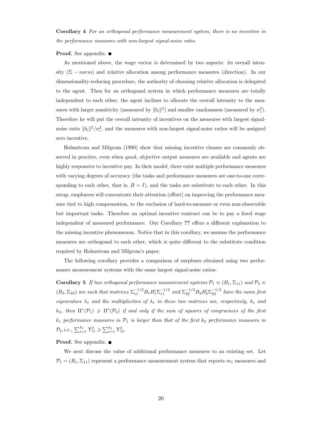Corollary 4 For an orthogonal performance measurement system, there is no incentive in the performance measures with non-largest signal-noise ratio.

#### **Proof.** See appendix. ■

As mentioned above, the wage vector is determined by two aspects: its overall intensity  $(\Sigma - norm)$  and relative allocation among performance measures (direction). In our dimensionality-reducing procedure, the authority of choosing relative allocation is delegated to the agent. Then for an orthogonal system in which performance measures are totally independent to each other, the agent inclines to allocate the overall intensity to the measures with larger sensitivity (measured by  $||b_i||^2$ ) and smaller randomness (measured by  $\sigma_i^2$ ). Therefore he will put the overall intensity of incentives on the measures with largest signalnoise ratio  $||b_i||^2/\sigma_i^2$ , and the measures with non-largest signal-noise ratios will be assigned zero incentive.

Holmstrom and Milgrom (1990) show that missing incentive clauses are commonly observed in practice, even when good, objective output measures are available and agents are highly responsive to incentive pay. In their model, there exist multiple performance measures with varying degrees of accuracy (the tasks and performance measures are one-to-one corresponding to each other, that is,  $B = I$ , and the tasks are substitute to each other. In this setup, employees will concentrate their attention (effort) on improving the performance measure tied to high compensation, to the exclusion of hard-to-measure or even non-observable but important tasks. Therefore an optimal incentive contract can be to pay a fixed wage independent of measured performance. Our Corollary ?? offers a different explanation to the missing incentive phenomenon. Notice that in this corollary, we assume the performance measures are orthogonal to each other, which is quite different to the substitute condition required by Holmstrom and Milgrom's paper.

The following corollary provides a comparison of surpluses obtained using two performance measurement systems with the same largest signal-noise ratios.

**Corollary 5** If two orthogonal performance measurement systems  $\mathcal{P}_1 \equiv (B_1, \Sigma_{11})$  and  $\mathcal{P}_2 \equiv$  $(B_2, \Sigma_{22})$  are such that matrices  $\Sigma_{11}^{-1/2} B_1 B_1' \Sigma_{11}^{-1/2}$  and  $\Sigma_{22}^{-1/2} B_2 B_2' \Sigma_{22}^{-1/2}$  have the same first eigenvalues  $\lambda_1$  and the multiplicities of  $\lambda_1$  in these two matrices are, respectively,  $k_1$  and  $k_2$ , then  $\Pi^*(\mathcal{P}_1) \geq \Pi^*(\mathcal{P}_2)$  if and only if the sum of squares of congruences of the first  $k_1$  performance measures in  $\mathcal{P}_1$  is larger than that of the first  $k_2$  performance measures in  $\mathcal{P}_2, i.e., \sum_{i=1}^{k_1} \Upsilon_{i1}^2 \geqslant \sum_{i=1}^{k_2} \Upsilon_{i2}^2.$ 

#### **Proof.** See appendix. ■

We next discuss the value of additional performance measures to an existing set. Let  $\mathcal{P}_1 = (B_1, \Sigma_{11})$  represent a performance measurement system that reports  $m_1$  measures and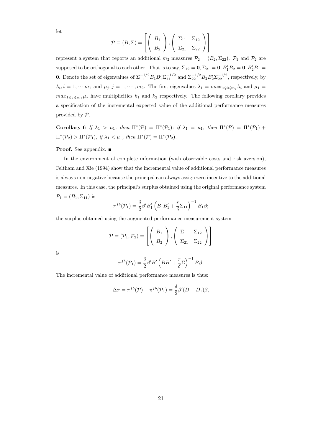let

$$
\mathcal{P} \equiv (B, \Sigma) = \left[ \left( \begin{array}{c} B_1 \\ B_2 \end{array} \right), \left( \begin{array}{cc} \Sigma_{11} & \Sigma_{12} \\ \Sigma_{21} & \Sigma_{22} \end{array} \right) \right]
$$

represent a system that reports an additional  $m_2$  measures  $P_2 = (B_2, \Sigma_{22})$ .  $P_1$  and  $P_2$  are supposed to be orthogonal to each other. That is to say,  $\Sigma_{12} = 0$ ,  $\Sigma_{21} = 0$ ,  $B'_1B_2 = 0$ ,  $B'_2B_1 = 0$ **0.** Denote the set of eigenvalues of  $\Sigma_{11}^{-1/2}B_1B_1'\Sigma_{11}^{-1/2}$  and  $\Sigma_{22}^{-1/2}B_2B_2'\Sigma_{22}^{-1/2}$ , respectively, by  $\lambda_i, i = 1, \dots m_1$  and  $\mu_j, j = 1, \dots, m_2$ . The first eigenvalues  $\lambda_1 = \max_{1 \leq i \leq m_1} \lambda_i$  and  $\mu_1 =$  $max_{1\leq j\leq m_2}\mu_j$  have multiplicities  $k_1$  and  $k_2$  respectively. The following corollary provides a specification of the incremental expected value of the additional performance measures provided by P.

Corollary 6 If  $\lambda_1 > \mu_1$ , then  $\Pi^*(\mathcal{P}) = \Pi^*(\mathcal{P}_1)$ ; if  $\lambda_1 = \mu_1$ , then  $\Pi^*(\mathcal{P}) = \Pi^*(\mathcal{P}_1) +$  $\Pi^*(\mathcal{P}_2) > \Pi^*(\mathcal{P}_1)$ ; if  $\lambda_1 < \mu_1$ , then  $\Pi^*(\mathcal{P}) = \Pi^*(\mathcal{P}_2)$ .

#### **Proof.** See appendix. ■

In the environment of complete information (with observable costs and risk aversion), Feltham and Xie (1994) show that the incremental value of additional performance measures is always non-negative because the principal can always assign zero incentive to the additional measures. In this case, the principal's surplus obtained using the original performance system  $\mathcal{P}_1 = (B_1, \Sigma_{11})$  is

$$
\pi^{fb}(\mathcal{P}_1) = \frac{\delta}{2}\beta'B'_1 \left(B_1B'_1 + \frac{r}{\delta}\Sigma_{11}\right)^{-1}B_1\beta;
$$

the surplus obtained using the augmented performance measurement system

$$
\mathcal{P} = (\mathcal{P}_1, \mathcal{P}_2) = \left[ \left( \begin{array}{c} B_1 \\ B_2 \end{array} \right), \left( \begin{array}{cc} \Sigma_{11} & \Sigma_{12} \\ \Sigma_{21} & \Sigma_{22} \end{array} \right) \right]
$$

is

$$
\pi^{fb}(\mathcal{P}_1) = \frac{\delta}{2}\beta'B'\left(BB' + \frac{r}{\delta}\Sigma\right)^{-1}B\beta.
$$

The incremental value of additional performance measures is thus:

$$
\Delta \pi = \pi^{fb}(\mathcal{P}) - \pi^{fb}(\mathcal{P}_1) = \frac{\delta}{2} \beta'(D - D_1)\beta,
$$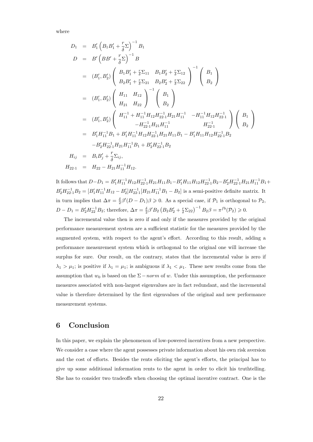where

$$
D_1 = B'_1 (B_1 B'_1 + \frac{r}{\delta} \Sigma)^{-1} B_1
$$
  
\n
$$
D = B' (BB' + \frac{r}{\delta} \Sigma)^{-1} B
$$
  
\n
$$
= (B'_1, B'_2) \left( \begin{array}{c} B_1 B'_1 + \frac{r}{\delta} \Sigma_{11} & B_1 B'_2 + \frac{r}{\delta} \Sigma_{12} \\ B_2 B'_1 + \frac{r}{\delta} \Sigma_{21} & B_2 B'_2 + \frac{r}{\delta} \Sigma_{22} \end{array} \right)^{-1} \left( \begin{array}{c} B_1 \\ B_2 \end{array} \right)
$$
  
\n
$$
= (B'_1, B'_2) \left( \begin{array}{c} H_{11} & H_{12} \\ H_{21} & H_{22} \end{array} \right)^{-1} \left( \begin{array}{c} B_1 \\ B_2 \end{array} \right)
$$
  
\n
$$
= (B'_1, B'_2) \left( \begin{array}{c} H_{11}^{-1} + H_{11}^{-1} H_{12} H_{22}^{-1} H_{21} H_{11}^{-1} & -H_{11}^{-1} H_{12} H_{22}^{-1} \\ -H_{22}^{-1} H_{21} H_{11}^{-1} & H_{22}^{-1} \end{array} \right) \left( \begin{array}{c} B_1 \\ B_2 \end{array} \right)
$$
  
\n
$$
= B'_1 H_{11}^{-1} B_1 + B'_1 H_{11}^{-1} H_{12} H_{22}^{-1} H_{21} H_{11} B_1 - B'_1 H_{11} H_{12} H_{22}^{-1} B_2
$$
  
\n
$$
-B'_2 H_{22}^{-1} H_{21} H_{11}^{-1} B_1 + B'_2 H_{22}^{-1} B_2
$$
  
\n
$$
H_{ij} = B_i B'_j + \frac{r}{\delta} \Sigma_{ij},
$$
  
\n
$$
H_{22 \cdot 1} = H_{22} - H_{21} H_{11}^{-1} H_{12}.
$$

It follows that  $D-D_1 = B'_1 H_{11}^{-1} H_{12} H_{22\cdot 1}^{-1} H_{21} H_{11} B_1 - B'_1 H_{11} H_{12} H_{22\cdot 1}^{-1} B_2 - B'_2 H_{22\cdot 1}^{-1} H_{21} H_{11}^{-1} B_1 +$  $B'_2H_{22\cdot1}^{-1}B_2=[B'_1H_{11}^{-1}H_{12}-B'_2]H_{22\cdot1}^{-1}[H_{21}H_{11}^{-1}B_1-B_2]$  is a semi-positive definite matrix. It in turn implies that  $\Delta \pi = \frac{\delta}{2} \beta'(D - D_1)\beta \geq 0$ . As a special case, if  $\mathcal{P}_1$  is orthogonal to  $\mathcal{P}_2$ ,  $D - D_1 = B_2' H_{22}^{-1} B_2$ ; therefore,  $\Delta \pi = \frac{\delta}{2} \beta' B_2 (B_2 B_2' + \frac{r}{\delta} \Sigma_{22})^{-1} B_2 \beta = \pi^{fb}(\mathcal{P}_2) \geq 0$ .

The incremental value then is zero if and only if the measures provided by the original performance measurement system are a sufficient statistic for the measures provided by the augmented system, with respect to the agent's effort. According to this result, adding a performance measurement system which is orthogonal to the original one will increase the surplus for sure. Our result, on the contrary, states that the incremental value is zero if  $\lambda_1 > \mu_1$ ; is positive if  $\lambda_1 = \mu_1$ ; is ambiguous if  $\lambda_1 < \mu_1$ . These new results come from the assumption that  $w_0$  is based on the  $\Sigma-norm$  of w. Under this assumption, the performance measures associated with non-largest eigenvalues are in fact redundant, and the incremental value is therefore determined by the first eigenvalues of the original and new performance measurement systems.

### 6 Conclusion

In this paper, we explain the phenomenon of low-powered incentives from a new perspective. We consider a case where the agent possesses private information about his own risk aversion and the cost of efforts. Besides the rents eliciting the agent's efforts, the principal has to give up some additional information rents to the agent in order to elicit his truthtelling. She has to consider two tradeoffs when choosing the optimal incentive contract. One is the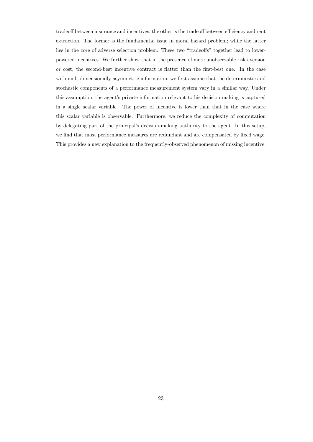tradeoff between insurance and incentives; the other is the tradeoff between efficiency and rent extraction. The former is the fundamental issue in moral hazard problem; while the latter lies in the core of adverse selection problem. These two "tradeoffs" together lead to lowerpowered incentives. We further show that in the presence of mere unobservable risk aversion or cost, the second-best incentive contract is flatter than the first-best one. In the case with multidimensionally asymmetric information, we first assume that the deterministic and stochastic components of a performance measurement system vary in a similar way. Under this assumption, the agent's private information relevant to his decision making is captured in a single scalar variable. The power of incentive is lower than that in the case where this scalar variable is observable. Furthermore, we reduce the complexity of computation by delegating part of the principal's decision-making authority to the agent. In this setup, we find that most performance measures are redundant and are compensated by fixed wage. This provides a new explanation to the frequently-observed phenomenon of missing incentive.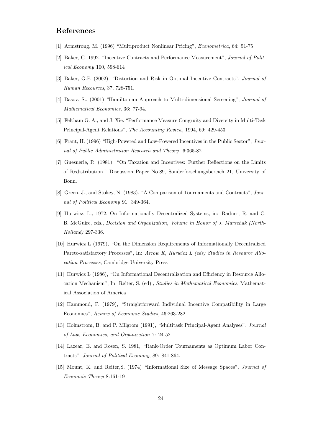### References

- [1] Armstrong, M. (1996) "Multiproduct Nonlinear Pricing", Econometrica, 64: 51-75
- [2] Baker, G. 1992. "Incentive Contracts and Performance Measurement", Journal of Political Economy 100, 598-614
- [3] Baker, G.P. (2002). "Distortion and Risk in Optimal Incentive Contracts", Journal of Human Recources, 37, 728-751.
- [4] Basov, S., (2001) "Hamiltonian Approach to Multi-dimensional Screening", Journal of Mathematical Economics, 36: 77-94.
- [5] Feltham G. A., and J. Xie. "Performance Measure Congruity and Diversity in Multi-Task Principal-Agent Relations", The Accounting Review, 1994, 69: 429-453
- [6] Frant, H. (1996) "High-Powered and Low-Powered Incentives in the Public Sector", Journal of Public Administration Research and Theory 6:365-82.
- [7] Guesnerie, R. (1981): "On Taxation and Incentives: Further Reflections on the Limits of Redistribution." Discussion Paper No.89, Sonderforschungsbereich 21, University of Bonn.
- [8] Green, J., and Stokey, N. (1983), "A Comparison of Tournaments and Contracts", Journal of Political Economy 91: 349-364.
- [9] Hurwicz, L., 1972, On Informationally Decentralized Systems, in: Radner, R. and C. B. McGuire, eds., Decision and Organization, Volume in Honor of J. Marschak (North-Holland) 297-336.
- [10] Hurwicz L (1979), "On the Dimension Requirements of Informationally Decentralized Pareto-satisfactory Processes", In: Arrow K, Hurwicz L (eds) Studies in Resource Allocation Processes, Cambridge University Press
- [11] Hurwicz L (1986), "On Informational Decentralization and Efficiency in Resource Allocation Mechanism", In: Reiter, S. (ed) , Studies in Mathematical Economics, Mathematical Association of America
- [12] Hammond, P. (1979), "Straightforward Individual Incentive Compatibility in Large Economies", Review of Economic Studies, 46:263-282
- [13] Holmstrom, B. and P. Milgrom (1991), "Multitask Principal-Agent Analyses", Journal of Law, Economics, and Organization 7: 24-52
- [14] Lazear, E. and Rosen, S. 1981, "Rank-Order Tournaments as Optimum Labor Contracts", Journal of Political Economy, 89: 841-864.
- [15] Mount, K. and Reiter,S. (1974) "Informational Size of Message Spaces", Journal of Economic Theory 8:161-191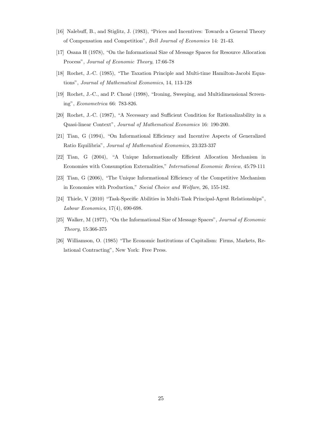- [16] Nalebuff, B., and Stiglitz, J. (1983), "Prices and Incentives: Towards a General Theory of Compensation and Competition", Bell Journal of Economics 14: 21-43.
- [17] Osana H (1978), "On the Informational Size of Message Spaces for Resource Allocation Process", Journal of Economic Theory, 17:66-78
- [18] Rochet, J.-C. (1985), "The Taxation Principle and Multi-time Hamilton-Jacobi Equations", Journal of Mathematical Economics, 14, 113-128
- [19] Rochet, J.-C., and P. Choné (1998), "Ironing, Sweeping, and Multidimensional Screening", Econometrica 66: 783-826.
- [20] Rochet, J.-C. (1987), "A Necessary and Sufficient Condition for Rationalizability in a Quasi-linear Context", Journal of Mathematical Economics 16: 190-200.
- [21] Tian, G (1994), "On Informational Efficiency and Incentive Aspects of Generalized Ratio Equilibria", Journal of Mathematical Economics, 23:323-337
- [22] Tian, G (2004), "A Unique Informationally Efficient Allocation Mechanism in Economies with Consumption Externalities," International Economic Review, 45:79-111
- [23] Tian, G (2006), "The Unique Informational Efficiency of the Competitive Mechanism in Economies with Production," Social Choice and Welfare, 26, 155-182.
- [24] Thiele, V (2010) "Task-Specific Abilities in Multi-Task Principal-Agent Relationships", Labour Economics, 17(4), 690-698.
- [25] Walker, M (1977), "On the Informational Size of Message Spaces", Journal of Economic Theory, 15:366-375
- [26] Williamson, O. (1985) "The Economic Institutions of Capitalism: Firms, Markets, Relational Contracting", New York: Free Press.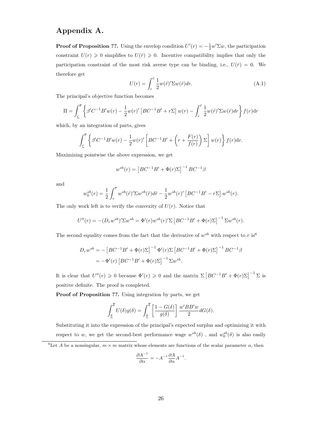### Appendix A.

**Proof of Proposition ??.** Using the envelop condition  $U'(r) = -\frac{1}{2}w'\Sigma w$ , the participation constraint  $U(r) \geq 0$  simplifies to  $U(\bar{r}) \geq 0$ . Incentive compatibility implies that only the participation constraint of the most risk averse type can be binding, i.e.,  $U(\bar{r}) = 0$ . We therefore get

$$
U(r) = \int_{r}^{\bar{r}} \frac{1}{2} w(\tilde{r})' \Sigma w(\tilde{r}) dr.
$$
 (A.1)

The principal's objective function becomes

$$
\Pi = \int_{\underline{r}}^{\overline{r}} \left\{ \beta' C^{-1} B' w(r) - \frac{1}{2} w(r)' \left[ B C^{-1} B' + r \Sigma \right] w(r) - \int_{r}^{\overline{r}} \frac{1}{2} w(\tilde{r})' \Sigma w(\tilde{r}) dr \right\} f(r) dr
$$

which, by an integration of parts, gives

$$
\int_{\underline{r}}^{\overline{r}} \left\{ \beta' C^{-1} B' w(r) - \frac{1}{2} w(r)' \left[ B C^{-1} B' + \left( r + \frac{F(r)}{f(r)} \right) \Sigma \right] w(r) \right\} f(r) dr.
$$

Maximizing pointwise the above expression, we get

$$
w^{sb}(r) = \left[BC^{-1}B' + \Phi(r)\Sigma\right]^{-1}BC^{-1}\beta
$$

and

$$
w_0^{sb}(r) = \frac{1}{2} \int_r^{\bar{r}} w^{sb}(\tilde{r})' \Sigma w^{sb}(\tilde{r}) d\tilde{r} - \frac{1}{2} w^{sb}(r)' \left[ BC^{-1}B' - r \Sigma \right] w^{sb}(r).
$$

The only work left is to verify the convexity of  $U(r)$ . Notice that

$$
U''(r) = -(D_r w^{sb})' \Sigma w^{sb} = \Phi'(r) w^{sb}(r)' \Sigma \left[ BC^{-1}B' + \Phi(r) \Sigma \right]^{-1} \Sigma w^{sb}(r).
$$

The second equality comes from the fact that the derivative of  $w^{sb}$  with respect to r is<sup>6</sup>

$$
D_r w^{sb} = -[BC^{-1}B' + \Phi(r)\Sigma]^{-1} \Phi'(r)\Sigma [BC^{-1}B' + \Phi(r)\Sigma]^{-1} BC^{-1}\beta
$$
  
=  $-\Phi'(r) [BC^{-1}B' + \Phi(r)\Sigma]^{-1} \Sigma w^{sb}.$ 

It is clear that  $U''(r) \geq 0$  because  $\Phi'(r) \geq 0$  and the matrix  $\Sigma \left[ BC^{-1}B' + \Phi(r)\Sigma \right]^{-1} \Sigma$  is positive definite. The proof is completed.

Proof of Proposition ??. Using integration by parts, we get

$$
\int_{\underline{\delta}}^{\overline{\delta}} U(\delta)g(\delta) = \int_{\underline{\delta}}^{\overline{\delta}} \left[ \frac{1 - G(\delta)}{g(\delta)} \right] \frac{w'BB'w}{2} dG(\delta).
$$

Substituting it into the expression of the principal's expected surplus and optimizing it with respect to w, we get the second-best performance wage  $w^{sb}(\delta)$ , and  $w_0^{sb}(\delta)$  is also easily

$$
\frac{\partial A^{-1}}{\partial \alpha} = -A^{-1} \frac{\partial A}{\partial \alpha} A^{-1}.
$$

<sup>&</sup>lt;sup>6</sup>Let A be a nonsingular,  $m \times m$  matrix whose elements are functions of the scalar parameter  $\alpha$ , then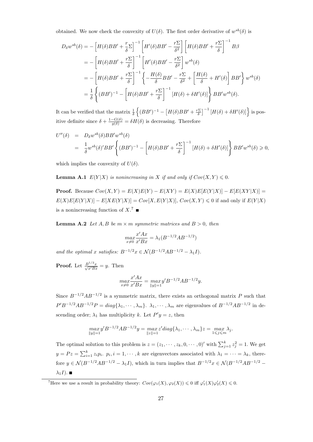obtained. We now check the convexity of  $U(\delta)$ . The first order derivative of  $w^{sb}(\delta)$  is

$$
D_{\delta}w^{sb}(\delta) = -\left[H(\delta)BB' + \frac{r}{\delta}\Sigma\right]^{-1}\left[H'(\delta)BB' - \frac{r\Sigma}{\delta^2}\right]\left[H(\delta)BB' + \frac{r\Sigma}{\delta}\right]^{-1}B\beta
$$
  

$$
= -\left[H(\delta)BB' + \frac{r\Sigma}{\delta}\right]^{-1}\left[H'(\delta)BB' - \frac{r\Sigma}{\delta^2}\right]w^{sb}(\delta)
$$
  

$$
= -\left[H(\delta)BB' + \frac{r\Sigma}{\delta}\right]^{-1}\left\{-\frac{H(\delta)}{\delta}BB' - \frac{r\Sigma}{\delta^2} + \left[\frac{H(\delta)}{\delta} + H'(\delta)\right]BB'\right\}w^{sb}(\delta)
$$
  

$$
= \frac{1}{\delta}\left\{(BB')^{-1} - \left[H(\delta)BB' + \frac{r\Sigma}{\delta}\right]^{-1}\left[H(\delta) + \delta H'(\delta)\right]\right\}BB'w^{sb}(\delta).
$$

It can be verified that the matrix  $\frac{1}{\delta}$  $\{(BB')^{-1} - \left[H(\delta)BB' + \frac{r\Sigma}{\delta}\right]^{-1}\left[H(\delta) + \delta H'(\delta)\right]\}$  is positive definite since  $\delta + \frac{1-G(\delta)}{g(\delta)} = \delta H(\delta)$  is decreasing. Therefore

$$
U''(\delta) = D_{\delta}w^{sb}(\delta)BB'w^{sb}(\delta)
$$
  
=  $\frac{1}{\delta}w^{sb}(\delta)'BB'\left\{ (BB')^{-1} - \left[H(\delta)BB' + \frac{r\Sigma}{\delta}\right]^{-1}[H(\delta) + \delta H'(\delta)]\right\}BB'w^{sb}(\delta) \ge 0,$ 

which implies the convexity of  $U(\delta)$ .

**Lemma A.1**  $E(Y|X)$  is nonincreasing in X if and only if  $Cov(X, Y) \leq 0$ .

**Proof.** Because  $Cov(X, Y) = E(X)E(Y) - E(XY) = E(X)E[E(Y|X)] - E[E(XY|X)] =$  $E(X)E[E(Y|X)] - E[XE(Y|X)] = Cov[X, E(Y|X)], Cov(X, Y) \leq 0$  if and only if  $E(Y|X)$ is a nonincreasing function of  $X$ .<sup>7</sup>

**Lemma A.2** Let A, B be  $m \times m$  symmetric matrices and  $B > 0$ , then

$$
\max_{x \neq 0} \frac{x'Ax}{x'Bx} = \lambda_1(B^{-1/2}AB^{-1/2})
$$

and the optimal x satisfies:  $B^{-1/2}x \in \mathcal{N}(B^{-1/2}AB^{-1/2} - \lambda_1 I)$ .

**Proof.** Let  $\frac{B^{1/2}x}{\sqrt{x' Bx}} = y$ . Then

$$
\max_{x \neq 0} \frac{x'Ax}{x'Bx} = \max_{\|y\|=1} y'B^{-1/2}AB^{-1/2}y.
$$

Since  $B^{-1/2}AB^{-1/2}$  is a symmetric matrix, there exists an orthogonal matrix P such that  $P'B^{-1/2}AB^{-1/2}P = diag{\lambda_1, \cdots, \lambda_m}.$   $\lambda_1, \cdots, \lambda_m$  are eigenvalues of  $B^{-1/2}AB^{-1/2}$  in descending order;  $\lambda_1$  has multiplicity k. Let  $P'y = z$ , then

$$
\max_{\|y\|=1} y'B^{-1/2}AB^{-1/2}y = \max_{\|z\|=1} z'diag\{\lambda_1,\cdots,\lambda_m\}z = \max_{1\leqslant j\leqslant m}\lambda_j.
$$

The optimal solution to this problem is  $z = (z_1, \dots, z_k, 0, \dots, 0)$ ' with  $\sum_{j=1}^k z_j^2 = 1$ . We get  $y = Pz = \sum_{i=1}^{k} z_i p_i$ .  $p_i, i = 1, \dots, k$  are eigenvectors associated with  $\lambda_1 = \dots = \lambda_k$ , therefore  $y \in \mathcal{N}(B^{-1/2}AB^{-1/2} - \lambda_1I)$ , which in turn implies that  $B^{-1/2}x \in \mathcal{N}(B^{-1/2}AB^{-1/2} - \lambda_1I)$  $\lambda_1 I$ ).

There we use a result in probability theory:  $Cov(\varphi_1(X), \varphi_2(X)) \leq 0$  iff  $\varphi'_1(X)\varphi'_2(X) \leq 0$ .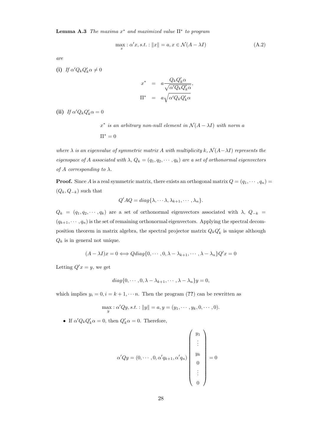**Lemma A.3** The maxima  $x^*$  and maximized value  $\Pi^*$  to program

$$
\max_{x} : \alpha' x, s.t. : ||x|| = a, x \in \mathcal{N}(A - \lambda I)
$$
\n(A.2)

are

(i) If  $\alpha' Q_k Q'_k \alpha \neq 0$ 

$$
\begin{array}{rcl} x^* & = & a \displaystyle{\frac{Q_k Q_k' \alpha}{\sqrt{\alpha' Q_k Q_k' \alpha}}}, \\[0.2cm] \Pi^* & = & a \displaystyle{\sqrt{\alpha' Q_k Q_k' \alpha}} \end{array}
$$

(ii) If  $\alpha' Q_k Q'_k \alpha = 0$ 

 $x^*$  is an arbitrary non-null element in  $\mathcal{N}(A - \lambda I)$  with norm a  $\Pi^* = 0$ 

where  $\lambda$  is an eigenvalue of symmetric matrix A with multiplicity k,  $\mathcal{N}(A-\lambda I)$  represents the eigenspace of A associated with  $\lambda$ ,  $Q_k = (q_1, q_2, \cdots, q_k)$  are a set of orthonormal eigenvectors of A corresponding to  $\lambda$ .

**Proof.** Since A is a real symmetric matrix, there exists an orthogonal matrix  $Q = (q_1, \dots, q_n)$  $(Q_k, Q_{-k})$  such that

$$
Q'AQ = diag\{\lambda, \cdots \lambda, \lambda_{k+1}, \cdots, \lambda_n\}.
$$

 $Q_k = (q_1, q_2, \cdots, q_k)$  are a set of orthonormal eigenvectors associated with  $\lambda$ ,  $Q_{-k}$  =  $(q_{k+1}, \dots, q_n)$  is the set of remaining orthonormal eigenvectors. Applying the spectral decomposition theorem in matrix algebra, the spectral projector matrix  $Q_k Q'_k$  is unique although  $Q_k$  is in general not unique.

$$
(A - \lambda I)x = 0 \Longleftrightarrow Qdiag\{0, \cdots, 0, \lambda - \lambda_{k+1}, \cdots, \lambda - \lambda_n\}Q'x = 0
$$

Letting  $Q'x = y$ , we get

$$
diag\{0,\cdots,0,\lambda-\lambda_{k+1},\cdots,\lambda-\lambda_n\}y=0,
$$

which implies  $y_i = 0, i = k + 1, \dots n$ . Then the program (??) can be rewritten as

$$
\max_{y} : \alpha'Qy, s.t. : ||y|| = a, y = (y_1, \cdots, y_k, 0, \cdots, 0).
$$

• If  $\alpha' Q_k Q'_k \alpha = 0$ , then  $Q'_k \alpha = 0$ . Therefore,

$$
\alpha'Qy = (0, \cdots, 0, \alpha'q_{k+1}, \alpha'q_n) \begin{pmatrix} y_1 \\ \vdots \\ y_k \\ 0 \\ \vdots \\ 0 \end{pmatrix} = 0
$$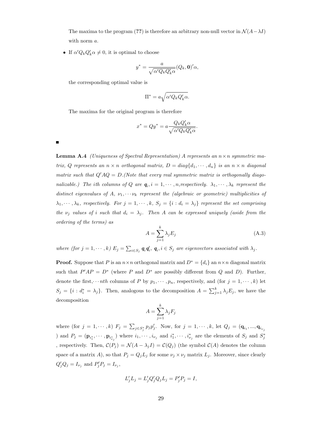The maxima to the program (??) is therefore an arbitrary non-null vector in  $\mathcal{N}(A-\lambda I)$ with norm a.

• If  $\alpha' Q_k Q'_k \alpha \neq 0$ , it is optimal to choose

$$
y^* = \frac{a}{\sqrt{\alpha'Q_kQ_k'\alpha}}(Q_k,\mathbf{0})'\alpha,
$$

the corresponding optimal value is

$$
\Pi^* = a \sqrt{\alpha' Q_k Q'_k \alpha}.
$$

The maxima for the original program is therefore

$$
x^* = Qy^* = a\frac{Q_k Q_k' \alpha}{\sqrt{\alpha' Q_k Q_k' \alpha}}.
$$

**Lemma A.4** (Uniqueness of Spectral Representation) A represents an  $n \times n$  symmetric matrix, Q represents an  $n \times n$  orthogonal matrix,  $D = diag\{d_1, \dots, d_n\}$  is an  $n \times n$  diagonal matrix such that  $Q'AQ = D$ . (Note that every real symmetric matrix is orthogonally diagonalizable.) The ith columns of Q are  $q_i$ ,  $i = 1, \dots, n$ , respectively.  $\lambda_1, \dots, \lambda_k$  represent the distinct eigenvalues of A,  $\nu_1, \dots \nu_k$  represent the (algebraic or geometric) multiplicities of  $\lambda_1, \dots, \lambda_k$ , respectively. For  $j = 1, \dots, k$ ,  $S_j = \{i : d_i = \lambda_j\}$  represent the set comprising the  $\nu_j$  values of i such that  $d_i = \lambda_j$ . Then A can be expressed uniquely (aside from the ordering of the terms) as

$$
A = \sum_{j=1}^{k} \lambda_j E_j \tag{A.3}
$$

where (for  $j = 1, \dots, k$ )  $E_j = \sum_{i \in S_j} q_i q_i'$ ,  $q_i, i \in S_j$  are eigenvectors associated with  $\lambda_j$ .

**Proof.** Suppose that P is an  $n \times n$  orthogonal matrix and  $D^* = \{d_i\}$  an  $n \times n$  diagonal matrix such that  $P'AP = D^*$  (where P and  $D^*$  are possibly different from Q and D). Further, denote the first,  $\cdots$  nth columns of P by  $p_1, \cdots, p_n$ , respectively, and (for  $j = 1, \cdots, k$ ) let  $S_j = \{i : d_i^* = \lambda_j\}.$  Then, analogous to the decomposition  $A = \sum_{j=1}^k \lambda_j E_j$ , we have the decomposition

$$
A = \sum_{j=1}^{k} \lambda_j F_j
$$

where (for  $j = 1, \dots, k$ )  $F_j = \sum_{j \in S_j^*} p_j p'_j$ . Now, for  $j = 1, \dots, k$ , let  $Q_j = (\mathbf{q}_{i_1}, ..., \mathbf{q}_{i_{\nu_j}})$ ) and  $P_j = (\mathbf{p}_{i_1^*}, \dots, \mathbf{p}_{i_{\nu_j}^*})$  where  $i_1, \dots, i_{\nu_j}$  and  $i_1^*, \dots, i_{\nu_j}^*$  are the elements of  $S_j$  and  $S_j^*$ , respectively. Then,  $\mathcal{C}(P_j) = \mathcal{N}(A - \lambda_j I) = \mathcal{C}(Q_j)$  (the symbol  $\mathcal{C}(A)$  denotes the column space of a matrix A), so that  $P_j = Q_j L_j$  for some  $\nu_j \times \nu_j$  matrix  $L_j$ . Moreover, since clearly  $Q'_j Q_j = I_{\nu_j}$  and  $P'_j P_j = I_{\nu_j}$ ,

$$
L'_j L_j = L'_j Q'_j Q_j L_j = P'_j P_j = I,
$$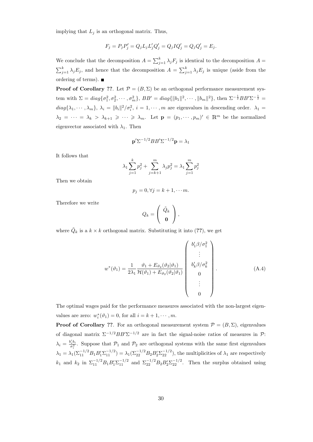implying that  $L_i$  is an orthogonal matrix. Thus,

$$
F_j = P_j P'_j = Q_j L_j L'_j Q'_j = Q_j I Q'_j = Q_j Q'_j = E_j.
$$

We conclude that the decomposition  $A = \sum_{j=1}^{k} \lambda_j F_j$  is identical to the decomposition  $A =$  $\sum_{j=1}^k \lambda_j E_j$ , and hence that the decomposition  $A = \sum_{j=1}^k \lambda_j E_j$  is unique (aside from the ordering of terms).

**Proof of Corollary ??.** Let  $\mathcal{P} = (B, \Sigma)$  be an orthogonal performance measurement system with  $\Sigma = diag\{\sigma_1^2, \sigma_2^2, \cdots, \sigma_m^2\}$ ,  $BB' = diag\{\|b_1\|^2, \cdots, \|b_m\|^2\}$ , then  $\Sigma^{-\frac{1}{2}}BB'\Sigma^{-\frac{1}{2}} =$  $diag\{\lambda_1,\dots,\lambda_m\},\ \lambda_i=\|b_i\|^2/\sigma_i^2,\ i=1,\dots,m$  are eigenvalues in descending order.  $\lambda_1=$  $\lambda_2 = \cdots = \lambda_k > \lambda_{k+1} \geqslant \cdots \geqslant \lambda_m$ . Let  $\mathbf{p} = (p_1, \dots, p_m)' \in \mathbb{R}^m$  be the normalized eigenvector associated with  $\lambda_1$ . Then

$$
\mathbf{p}'\Sigma^{-1/2}BB'\Sigma^{-1/2}\mathbf{p}=\lambda_1
$$

It follows that

$$
\lambda_1 \sum_{j=1}^k p_j^2 + \sum_{j=k+1}^m \lambda_j p_j^2 = \lambda_1 \sum_{j=1}^m p_j^2
$$

Then we obtain

$$
p_j = 0, \forall j = k+1, \cdots m.
$$

Therefore we write

$$
Q_k = \left(\begin{array}{c} \tilde{Q}_k \\ \mathbf{0} \end{array}\right),
$$

where  $\tilde{Q}_k$  is a  $k \times k$  orthogonal matrix. Substituting it into (??), we get

$$
w^*(\vartheta_1) = \frac{1}{2\lambda_1} \frac{\vartheta_1 + E_{\vartheta_2}(\vartheta_2|\vartheta_1)}{\mathcal{H}(\vartheta_1) + E_{\vartheta_2}(\vartheta_2|\vartheta_1)} \begin{pmatrix} b'_1 \beta/\sigma_1^2 \\ \vdots \\ b'_k \beta/\sigma_k^2 \\ 0 \\ \vdots \\ 0 \end{pmatrix} .
$$
 (A.4)

The optimal wages paid for the performance measures associated with the non-largest eigenvalues are zero:  $w_i^*(\vartheta_1) = 0$ , for all  $i = k + 1, \dots, m$ .

**Proof of Corollary ??.** For an orthogonal measurement system  $\mathcal{P} = (B, \Sigma)$ , eigenvalues of diagonal matrix  $\Sigma^{-1/2}BB'\Sigma^{-1/2}$  are in fact the signal-noise ratios of measures in  $\mathcal{P}$ :  $\lambda_i = \frac{b'_i b_i}{\sigma_i^2}$  $\overline{\sigma_i^{2} \sigma_i^{2}}$ . Suppose that  $\mathcal{P}_1$  and  $\mathcal{P}_2$  are orthogonal systems with the same first eigenvalues  $\lambda_1 = \lambda_1 (\Sigma_{11}^{-1/2} B_1 B_1' \Sigma_{11}^{-1/2}) = \lambda_1 (\Sigma_{22}^{-1/2} B_2 B_2' \Sigma_{22}^{-1/2})$ , the multiplicities of  $\lambda_1$  are respectively  $k_1$  and  $k_2$  in  $\Sigma_{11}^{-1/2}B_1B_1'\Sigma_{11}^{-1/2}$  and  $\Sigma_{22}^{-1/2}B_2B_2'\Sigma_{22}^{-1/2}$ . Then the surplus obtained using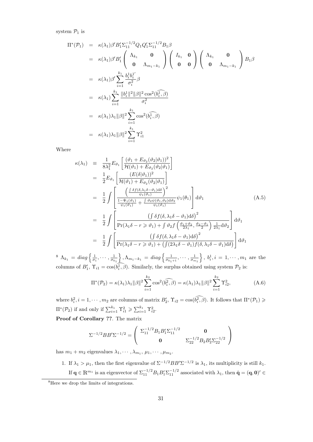system  $\mathcal{P}_1$  is

$$
\Pi^*(\mathcal{P}_1) = \kappa(\lambda_1)\beta'B'_1\Sigma_{11}^{-1/2}Q_1Q'_1\Sigma_{11}^{-1/2}B_1\beta
$$
  
\n
$$
= \kappa(\lambda_1)\beta'B'_1\begin{pmatrix} \Lambda_{k_1} & \mathbf{0} \\ \mathbf{0} & \Lambda_{m_1-k_1} \end{pmatrix}\begin{pmatrix} I_{k_1} & \mathbf{0} \\ \mathbf{0} & \mathbf{0} \end{pmatrix}\begin{pmatrix} \Lambda_{k_1} & \mathbf{0} \\ \mathbf{0} & \Lambda_{m_1-k_1} \end{pmatrix}B_1\beta
$$
  
\n
$$
= \kappa(\lambda_1)\beta'\sum_{i=1}^{k_1}\frac{b_i^1b_i^{1'}}{\sigma_i^2}\beta
$$
  
\n
$$
= \kappa(\lambda_1)\sum_{i=1}^{k_1}\frac{||b_i^1||^2||\beta||^2\cos^2(b_i^1,\beta)}{\sigma_i^2}
$$
  
\n
$$
= \kappa(\lambda_1)\lambda_1||\beta||^2\sum_{i=1}^{k_1}\cos^2(b_i^1,\beta)
$$
  
\n
$$
= \kappa(\lambda_1)\lambda_1||\beta||^2\sum_{i=1}^{k_1}\Upsilon_{i1}^2
$$

Where

$$
\kappa(\lambda_1) \equiv \frac{1}{8\lambda_1^2} E_{\vartheta_1} \left[ \frac{(\vartheta_1 + E_{\vartheta_2}(\vartheta_2|\vartheta_1))^2}{\mathcal{H}(\vartheta_1) + E_{\vartheta_2}(\vartheta_2|\vartheta_1)} \right]
$$
\n
$$
= \frac{1}{2} E_{\vartheta_1} \left[ \frac{(E(\delta|\vartheta_1))^2}{\mathcal{H}(\vartheta_1) + E_{\vartheta_2}(\vartheta_2|\vartheta_1)} \right]
$$
\n
$$
= \frac{1}{2} \int \left[ \frac{\left( \frac{\int \delta f(\delta, \lambda_1 \delta - \vartheta_1) d\delta}{\psi_1(\vartheta_1)} \right)^2}{\frac{1 - \Psi_1(\vartheta_1)}{\psi_1(\vartheta_1)} + \frac{\int \vartheta_2 \psi(\vartheta_1, \vartheta_2) d\vartheta_2}{\psi_1(\vartheta_1)}} \psi_1(\theta_1) \right] d\vartheta_1
$$
\n
$$
= \frac{1}{2} \int \left[ \frac{\left( \int \delta f(\delta, \lambda_1 \delta - \vartheta_1) d\delta \right)^2}{\Pr(\lambda_1 \delta - r \ge \vartheta_1) + \int \vartheta_2 f \left( \frac{\vartheta_1 + \vartheta_2}{2\lambda_1}, \frac{\vartheta_2 - \vartheta_1}{2} \right)}{\frac{1}{2\lambda_1} d\vartheta_2} \right] d\vartheta_1
$$
\n
$$
= \frac{1}{2} \int \left[ \frac{\left( \int \delta f(\delta, \lambda_1 \delta - \vartheta_1) d\delta \right)^2}{\Pr(\lambda_1 \delta - r \ge \vartheta_1) + \left( \int (2\lambda_1 \delta - \vartheta_1) f(\delta, \lambda_1 \delta - \vartheta_1) d\delta \right)} \right] d\vartheta_1
$$

<sup>8</sup>  $\Lambda_{k_1} = diag\left\{\frac{1}{\sigma_1}, \cdots, \frac{1}{\sigma_{k_1}}\right\}$  $\Big\}, \Lambda_{m_1-k_1} = diag\Big\{\frac{1}{\sigma_{k_1+1}}, \cdots, \frac{1}{\sigma_{m_1}}\Big\}$ },  $b_i^1, i = 1, \dots, m_1$  are the columns of  $B'_1$ ,  $\Upsilon_{i1} = \cos(b_i^1, \beta)$ . Similarly, the surplus obtained using system  $\mathcal{P}_2$  is:

$$
\Pi^*(\mathcal{P}_2) = \kappa(\lambda_1)\lambda_1 \|\beta\|^2 \sum_{i=1}^{k_2} \cos^2(\widehat{b_i^2}, \beta) = \kappa(\lambda_1)\lambda_1 \|\beta\|^2 \sum_{i=1}^{k_2} \Upsilon_{i2}^2,
$$
\n(A.6)

where  $b_i^2$ ,  $i = 1, \dots, m_2$  are columns of matrix  $B'_2$ ,  $\Upsilon_{i2} = \cos(b_i^2, \beta)$ . It follows that  $\Pi^*(\mathcal{P}_1) \geq$  $\Pi^*(\mathcal{P}_2)$  if and only if  $\sum_{i=1}^{k_1} \Upsilon_{i1}^2 \geqslant \sum_{i=1}^{k_1} \Upsilon_{i2}^2$ .

Proof of Corollary ??. The matrix

$$
\Sigma^{-1/2}BB'\Sigma^{-1/2} = \left(\begin{array}{cc} \Sigma_{11}^{-1/2}B_1B_1'\Sigma_{11}^{-1/2} & \mathbf{0} \\ \mathbf{0} & \Sigma_{22}^{-1/2}B_2B_2'\Sigma_{22}^{-1/2} \end{array}\right)
$$

has  $m_1 + m_2$  eigenvalues  $\lambda_1, \cdots, \lambda_{m_1}, \mu_1, \cdots, \mu_{m_2}$ .

1. If  $\lambda_1 > \mu_1$ , then the first eigenvalue of  $\Sigma^{-1/2}BB'\Sigma^{-1/2}$  is  $\lambda_1$ , its multiplicity is still  $k_1$ . If  $\mathbf{q} \in \mathbb{R}^{m_1}$  is an eigenvector of  $\Sigma_{11}^{-1/2} B_1 B_1' \Sigma_{11}^{-1/2}$  associated with  $\lambda_1$ , then  $\hat{\mathbf{q}} = (\mathbf{q}, \mathbf{0})' \in$ 

<sup>&</sup>lt;sup>8</sup>Here we drop the limits of integrations.